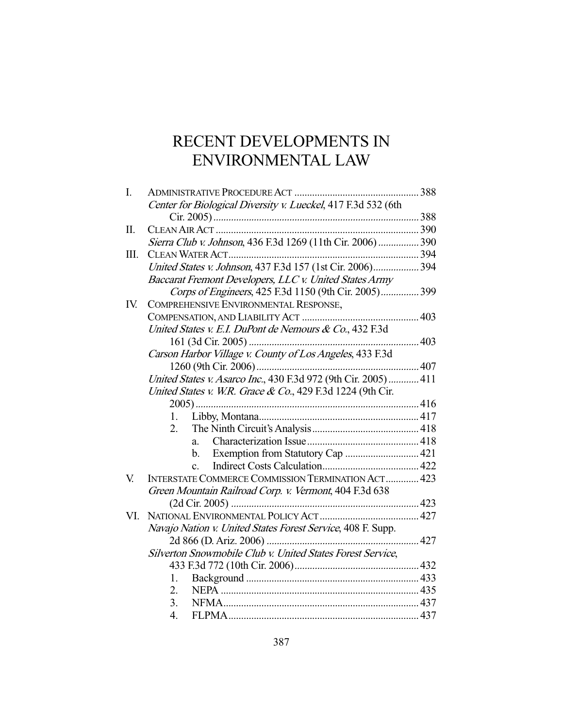# RECENT DEVELOPMENTS IN ENVIRONMENTAL LAW

| I.  |                                                                 |  |
|-----|-----------------------------------------------------------------|--|
|     | Center for Biological Diversity v. Lueckel, 417 F.3d 532 (6th   |  |
|     |                                                                 |  |
| Π.  |                                                                 |  |
|     | Sierra Club v. Johnson, 436 F.3d 1269 (11th Cir. 2006)  390     |  |
| Ш.  |                                                                 |  |
|     | United States v. Johnson, 437 F.3d 157 (1st Cir. 2006) 394      |  |
|     | Baccarat Fremont Developers, LLC v. United States Army          |  |
|     | Corps of Engineers, 425 F.3d 1150 (9th Cir. 2005) 399           |  |
| IV. | COMPREHENSIVE ENVIRONMENTAL RESPONSE,                           |  |
|     |                                                                 |  |
|     | United States v. E.I. DuPont de Nemours & Co., 432 F.3d         |  |
|     |                                                                 |  |
|     | Carson Harbor Village v. County of Los Angeles, 433 F.3d        |  |
|     |                                                                 |  |
|     | United States v. Asarco Inc., 430 F.3d 972 (9th Cir. 2005)  411 |  |
|     | United States v. W.R. Grace & Co., 429 F.3d 1224 (9th Cir.      |  |
|     |                                                                 |  |
|     | 1.                                                              |  |
|     | 2.                                                              |  |
|     | a.                                                              |  |
|     | Exemption from Statutory Cap  421<br>$b_{-}$                    |  |
|     | $\mathbf{c}$ .                                                  |  |
| V.  | INTERSTATE COMMERCE COMMISSION TERMINATION ACT 423              |  |
|     | Green Mountain Railroad Corp. v. Vermont, 404 F.3d 638          |  |
|     |                                                                 |  |
| VI. |                                                                 |  |
|     | Navajo Nation v. United States Forest Service, 408 F. Supp.     |  |
|     |                                                                 |  |
|     | Silverton Snowmobile Club v. United States Forest Service,      |  |
|     |                                                                 |  |
|     | 1.                                                              |  |
|     | $\overline{2}$ .                                                |  |
|     | 3 <sub>1</sub>                                                  |  |
|     | 4.                                                              |  |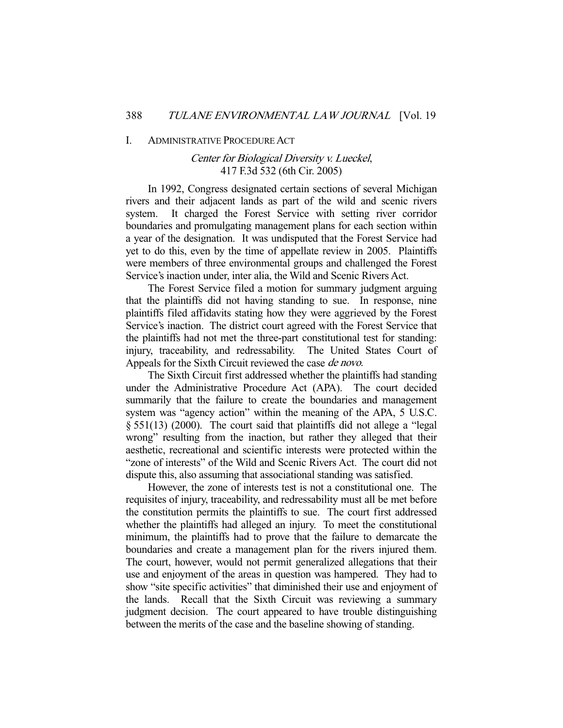#### I. ADMINISTRATIVE PROCEDURE ACT

# Center for Biological Diversity v. Lueckel, 417 F.3d 532 (6th Cir. 2005)

 In 1992, Congress designated certain sections of several Michigan rivers and their adjacent lands as part of the wild and scenic rivers system. It charged the Forest Service with setting river corridor boundaries and promulgating management plans for each section within a year of the designation. It was undisputed that the Forest Service had yet to do this, even by the time of appellate review in 2005. Plaintiffs were members of three environmental groups and challenged the Forest Service's inaction under, inter alia, the Wild and Scenic Rivers Act.

 The Forest Service filed a motion for summary judgment arguing that the plaintiffs did not having standing to sue. In response, nine plaintiffs filed affidavits stating how they were aggrieved by the Forest Service's inaction. The district court agreed with the Forest Service that the plaintiffs had not met the three-part constitutional test for standing: injury, traceability, and redressability. The United States Court of Appeals for the Sixth Circuit reviewed the case *de novo*.

 The Sixth Circuit first addressed whether the plaintiffs had standing under the Administrative Procedure Act (APA). The court decided summarily that the failure to create the boundaries and management system was "agency action" within the meaning of the APA, 5 U.S.C. § 551(13) (2000). The court said that plaintiffs did not allege a "legal wrong" resulting from the inaction, but rather they alleged that their aesthetic, recreational and scientific interests were protected within the "zone of interests" of the Wild and Scenic Rivers Act. The court did not dispute this, also assuming that associational standing was satisfied.

 However, the zone of interests test is not a constitutional one. The requisites of injury, traceability, and redressability must all be met before the constitution permits the plaintiffs to sue. The court first addressed whether the plaintiffs had alleged an injury. To meet the constitutional minimum, the plaintiffs had to prove that the failure to demarcate the boundaries and create a management plan for the rivers injured them. The court, however, would not permit generalized allegations that their use and enjoyment of the areas in question was hampered. They had to show "site specific activities" that diminished their use and enjoyment of the lands. Recall that the Sixth Circuit was reviewing a summary judgment decision. The court appeared to have trouble distinguishing between the merits of the case and the baseline showing of standing.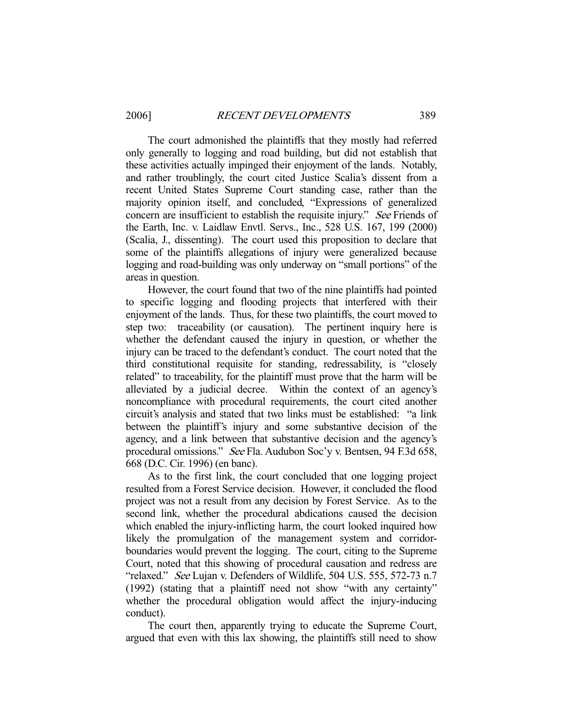The court admonished the plaintiffs that they mostly had referred only generally to logging and road building, but did not establish that these activities actually impinged their enjoyment of the lands. Notably, and rather troublingly, the court cited Justice Scalia's dissent from a recent United States Supreme Court standing case, rather than the majority opinion itself, and concluded, "Expressions of generalized concern are insufficient to establish the requisite injury." See Friends of the Earth, Inc. v. Laidlaw Envtl. Servs., Inc., 528 U.S. 167, 199 (2000) (Scalia, J., dissenting). The court used this proposition to declare that some of the plaintiffs allegations of injury were generalized because logging and road-building was only underway on "small portions" of the areas in question.

 However, the court found that two of the nine plaintiffs had pointed to specific logging and flooding projects that interfered with their enjoyment of the lands. Thus, for these two plaintiffs, the court moved to step two: traceability (or causation). The pertinent inquiry here is whether the defendant caused the injury in question, or whether the injury can be traced to the defendant's conduct. The court noted that the third constitutional requisite for standing, redressability, is "closely related" to traceability, for the plaintiff must prove that the harm will be alleviated by a judicial decree. Within the context of an agency's noncompliance with procedural requirements, the court cited another circuit's analysis and stated that two links must be established: "a link between the plaintiff's injury and some substantive decision of the agency, and a link between that substantive decision and the agency's procedural omissions." See Fla. Audubon Soc'y v. Bentsen, 94 F.3d 658, 668 (D.C. Cir. 1996) (en banc).

 As to the first link, the court concluded that one logging project resulted from a Forest Service decision. However, it concluded the flood project was not a result from any decision by Forest Service. As to the second link, whether the procedural abdications caused the decision which enabled the injury-inflicting harm, the court looked inquired how likely the promulgation of the management system and corridorboundaries would prevent the logging. The court, citing to the Supreme Court, noted that this showing of procedural causation and redress are "relaxed." See Lujan v. Defenders of Wildlife, 504 U.S. 555, 572-73 n.7 (1992) (stating that a plaintiff need not show "with any certainty" whether the procedural obligation would affect the injury-inducing conduct).

 The court then, apparently trying to educate the Supreme Court, argued that even with this lax showing, the plaintiffs still need to show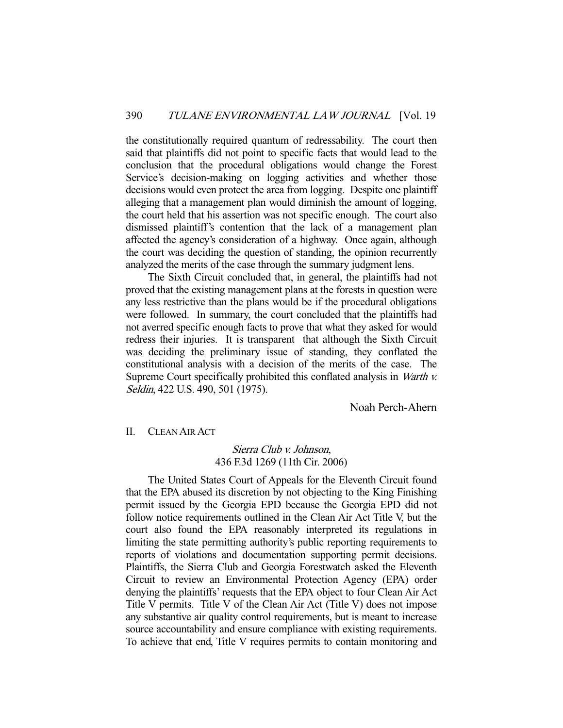the constitutionally required quantum of redressability. The court then said that plaintiffs did not point to specific facts that would lead to the conclusion that the procedural obligations would change the Forest Service's decision-making on logging activities and whether those decisions would even protect the area from logging. Despite one plaintiff alleging that a management plan would diminish the amount of logging, the court held that his assertion was not specific enough. The court also dismissed plaintiff's contention that the lack of a management plan affected the agency's consideration of a highway. Once again, although the court was deciding the question of standing, the opinion recurrently analyzed the merits of the case through the summary judgment lens.

 The Sixth Circuit concluded that, in general, the plaintiffs had not proved that the existing management plans at the forests in question were any less restrictive than the plans would be if the procedural obligations were followed. In summary, the court concluded that the plaintiffs had not averred specific enough facts to prove that what they asked for would redress their injuries. It is transparent that although the Sixth Circuit was deciding the preliminary issue of standing, they conflated the constitutional analysis with a decision of the merits of the case. The Supreme Court specifically prohibited this conflated analysis in Warth v. Seldin, 422 U.S. 490, 501 (1975).

#### Noah Perch-Ahern

## II. CLEAN AIR ACT

## Sierra Club v. Johnson, 436 F.3d 1269 (11th Cir. 2006)

 The United States Court of Appeals for the Eleventh Circuit found that the EPA abused its discretion by not objecting to the King Finishing permit issued by the Georgia EPD because the Georgia EPD did not follow notice requirements outlined in the Clean Air Act Title V, but the court also found the EPA reasonably interpreted its regulations in limiting the state permitting authority's public reporting requirements to reports of violations and documentation supporting permit decisions. Plaintiffs, the Sierra Club and Georgia Forestwatch asked the Eleventh Circuit to review an Environmental Protection Agency (EPA) order denying the plaintiffs' requests that the EPA object to four Clean Air Act Title V permits. Title V of the Clean Air Act (Title V) does not impose any substantive air quality control requirements, but is meant to increase source accountability and ensure compliance with existing requirements. To achieve that end, Title V requires permits to contain monitoring and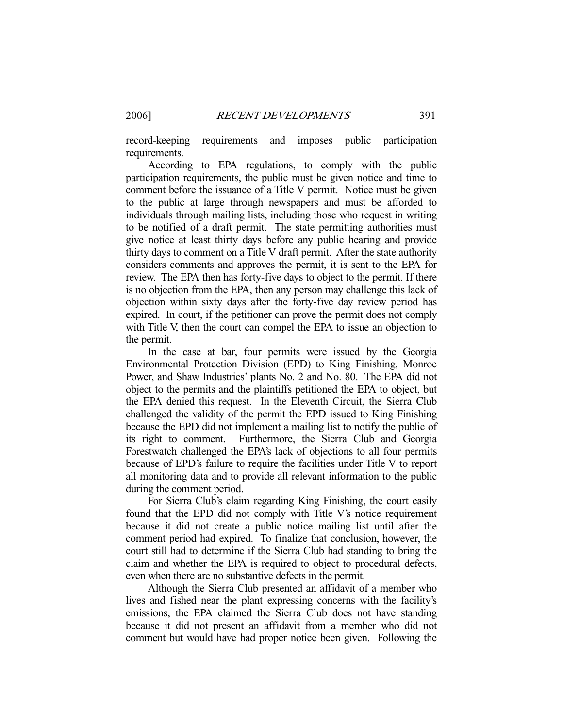record-keeping requirements and imposes public participation requirements.

 According to EPA regulations, to comply with the public participation requirements, the public must be given notice and time to comment before the issuance of a Title V permit. Notice must be given to the public at large through newspapers and must be afforded to individuals through mailing lists, including those who request in writing to be notified of a draft permit. The state permitting authorities must give notice at least thirty days before any public hearing and provide thirty days to comment on a Title V draft permit. After the state authority considers comments and approves the permit, it is sent to the EPA for review. The EPA then has forty-five days to object to the permit. If there is no objection from the EPA, then any person may challenge this lack of objection within sixty days after the forty-five day review period has expired. In court, if the petitioner can prove the permit does not comply with Title V, then the court can compel the EPA to issue an objection to the permit.

 In the case at bar, four permits were issued by the Georgia Environmental Protection Division (EPD) to King Finishing, Monroe Power, and Shaw Industries' plants No. 2 and No. 80. The EPA did not object to the permits and the plaintiffs petitioned the EPA to object, but the EPA denied this request. In the Eleventh Circuit, the Sierra Club challenged the validity of the permit the EPD issued to King Finishing because the EPD did not implement a mailing list to notify the public of its right to comment. Furthermore, the Sierra Club and Georgia Forestwatch challenged the EPA's lack of objections to all four permits because of EPD's failure to require the facilities under Title V to report all monitoring data and to provide all relevant information to the public during the comment period.

 For Sierra Club's claim regarding King Finishing, the court easily found that the EPD did not comply with Title V's notice requirement because it did not create a public notice mailing list until after the comment period had expired. To finalize that conclusion, however, the court still had to determine if the Sierra Club had standing to bring the claim and whether the EPA is required to object to procedural defects, even when there are no substantive defects in the permit.

 Although the Sierra Club presented an affidavit of a member who lives and fished near the plant expressing concerns with the facility's emissions, the EPA claimed the Sierra Club does not have standing because it did not present an affidavit from a member who did not comment but would have had proper notice been given. Following the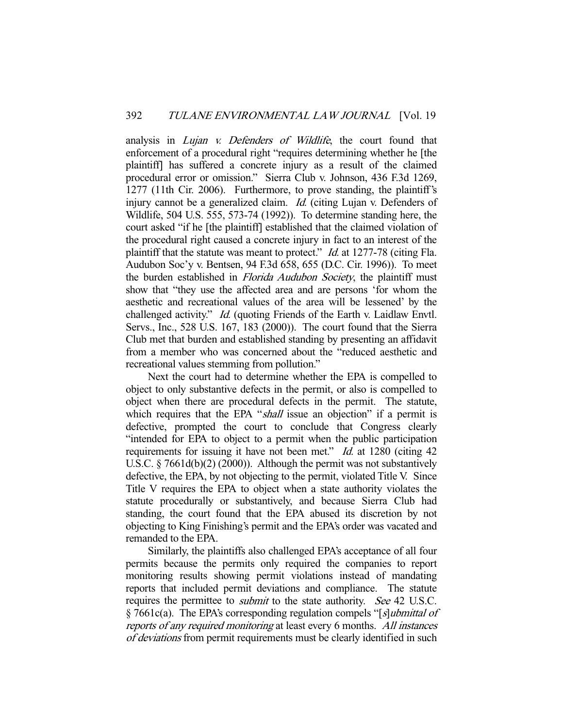analysis in *Lujan v. Defenders of Wildlife*, the court found that enforcement of a procedural right "requires determining whether he [the plaintiff] has suffered a concrete injury as a result of the claimed procedural error or omission." Sierra Club v. Johnson, 436 F.3d 1269, 1277 (11th Cir. 2006). Furthermore, to prove standing, the plaintiff's injury cannot be a generalized claim. *Id.* (citing Lujan v. Defenders of Wildlife, 504 U.S. 555, 573-74 (1992)). To determine standing here, the court asked "if he [the plaintiff] established that the claimed violation of the procedural right caused a concrete injury in fact to an interest of the plaintiff that the statute was meant to protect." Id. at 1277-78 (citing Fla. Audubon Soc'y v. Bentsen, 94 F.3d 658, 655 (D.C. Cir. 1996)). To meet the burden established in *Florida Audubon Society*, the plaintiff must show that "they use the affected area and are persons 'for whom the aesthetic and recreational values of the area will be lessened' by the challenged activity." *Id.* (quoting Friends of the Earth v. Laidlaw Envtl. Servs., Inc., 528 U.S. 167, 183 (2000)). The court found that the Sierra Club met that burden and established standing by presenting an affidavit from a member who was concerned about the "reduced aesthetic and recreational values stemming from pollution."

 Next the court had to determine whether the EPA is compelled to object to only substantive defects in the permit, or also is compelled to object when there are procedural defects in the permit. The statute, which requires that the EPA "*shall* issue an objection" if a permit is defective, prompted the court to conclude that Congress clearly "intended for EPA to object to a permit when the public participation requirements for issuing it have not been met." *Id.* at 1280 (citing 42 U.S.C. § 7661d(b)(2) (2000)). Although the permit was not substantively defective, the EPA, by not objecting to the permit, violated Title V. Since Title V requires the EPA to object when a state authority violates the statute procedurally or substantively, and because Sierra Club had standing, the court found that the EPA abused its discretion by not objecting to King Finishing's permit and the EPA's order was vacated and remanded to the EPA.

 Similarly, the plaintiffs also challenged EPA's acceptance of all four permits because the permits only required the companies to report monitoring results showing permit violations instead of mandating reports that included permit deviations and compliance. The statute requires the permittee to *submit* to the state authority. See 42 U.S.C. § 7661c(a). The EPA's corresponding regulation compels "[s]ubmittal of reports of any required monitoring at least every 6 months. All instances of deviations from permit requirements must be clearly identified in such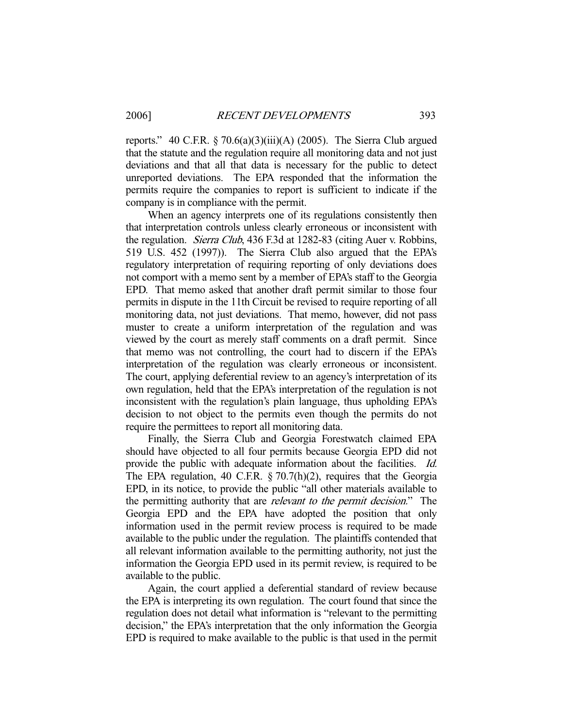reports." 40 C.F.R.  $\S 70.6(a)(3)(iii)(A)$  (2005). The Sierra Club argued that the statute and the regulation require all monitoring data and not just deviations and that all that data is necessary for the public to detect unreported deviations. The EPA responded that the information the permits require the companies to report is sufficient to indicate if the company is in compliance with the permit.

 When an agency interprets one of its regulations consistently then that interpretation controls unless clearly erroneous or inconsistent with the regulation. Sierra Club, 436 F.3d at 1282-83 (citing Auer v. Robbins, 519 U.S. 452 (1997)). The Sierra Club also argued that the EPA's regulatory interpretation of requiring reporting of only deviations does not comport with a memo sent by a member of EPA's staff to the Georgia EPD. That memo asked that another draft permit similar to those four permits in dispute in the 11th Circuit be revised to require reporting of all monitoring data, not just deviations. That memo, however, did not pass muster to create a uniform interpretation of the regulation and was viewed by the court as merely staff comments on a draft permit. Since that memo was not controlling, the court had to discern if the EPA's interpretation of the regulation was clearly erroneous or inconsistent. The court, applying deferential review to an agency's interpretation of its own regulation, held that the EPA's interpretation of the regulation is not inconsistent with the regulation's plain language, thus upholding EPA's decision to not object to the permits even though the permits do not require the permittees to report all monitoring data.

 Finally, the Sierra Club and Georgia Forestwatch claimed EPA should have objected to all four permits because Georgia EPD did not provide the public with adequate information about the facilities. Id. The EPA regulation, 40 C.F.R. § 70.7(h)(2), requires that the Georgia EPD, in its notice, to provide the public "all other materials available to the permitting authority that are *relevant to the permit decision*." The Georgia EPD and the EPA have adopted the position that only information used in the permit review process is required to be made available to the public under the regulation. The plaintiffs contended that all relevant information available to the permitting authority, not just the information the Georgia EPD used in its permit review, is required to be available to the public.

 Again, the court applied a deferential standard of review because the EPA is interpreting its own regulation. The court found that since the regulation does not detail what information is "relevant to the permitting decision," the EPA's interpretation that the only information the Georgia EPD is required to make available to the public is that used in the permit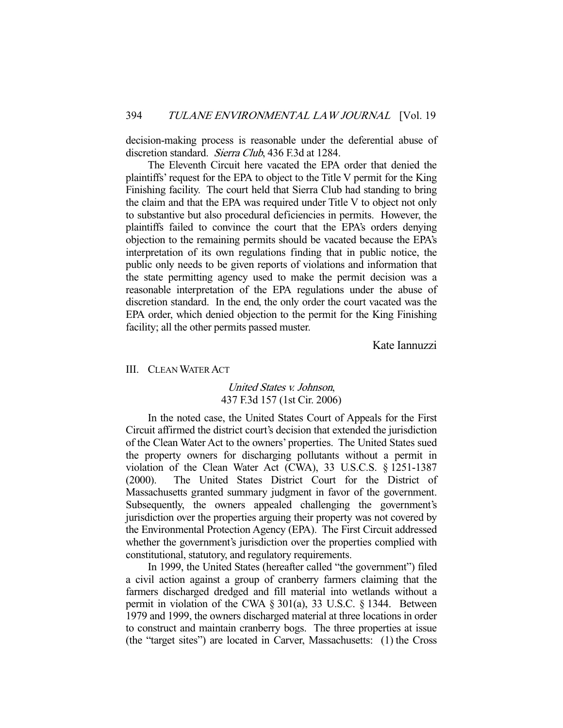decision-making process is reasonable under the deferential abuse of discretion standard. *Sierra Club*, 436 F.3d at 1284.

 The Eleventh Circuit here vacated the EPA order that denied the plaintiffs' request for the EPA to object to the Title V permit for the King Finishing facility. The court held that Sierra Club had standing to bring the claim and that the EPA was required under Title V to object not only to substantive but also procedural deficiencies in permits. However, the plaintiffs failed to convince the court that the EPA's orders denying objection to the remaining permits should be vacated because the EPA's interpretation of its own regulations finding that in public notice, the public only needs to be given reports of violations and information that the state permitting agency used to make the permit decision was a reasonable interpretation of the EPA regulations under the abuse of discretion standard. In the end, the only order the court vacated was the EPA order, which denied objection to the permit for the King Finishing facility; all the other permits passed muster.

Kate Iannuzzi

## III. CLEAN WATER ACT

## United States v. Johnson, 437 F.3d 157 (1st Cir. 2006)

 In the noted case, the United States Court of Appeals for the First Circuit affirmed the district court's decision that extended the jurisdiction of the Clean Water Act to the owners' properties. The United States sued the property owners for discharging pollutants without a permit in violation of the Clean Water Act (CWA), 33 U.S.C.S. § 1251-1387 (2000). The United States District Court for the District of Massachusetts granted summary judgment in favor of the government. Subsequently, the owners appealed challenging the government's jurisdiction over the properties arguing their property was not covered by the Environmental Protection Agency (EPA). The First Circuit addressed whether the government's jurisdiction over the properties complied with constitutional, statutory, and regulatory requirements.

 In 1999, the United States (hereafter called "the government") filed a civil action against a group of cranberry farmers claiming that the farmers discharged dredged and fill material into wetlands without a permit in violation of the CWA § 301(a), 33 U.S.C. § 1344. Between 1979 and 1999, the owners discharged material at three locations in order to construct and maintain cranberry bogs. The three properties at issue (the "target sites") are located in Carver, Massachusetts: (1) the Cross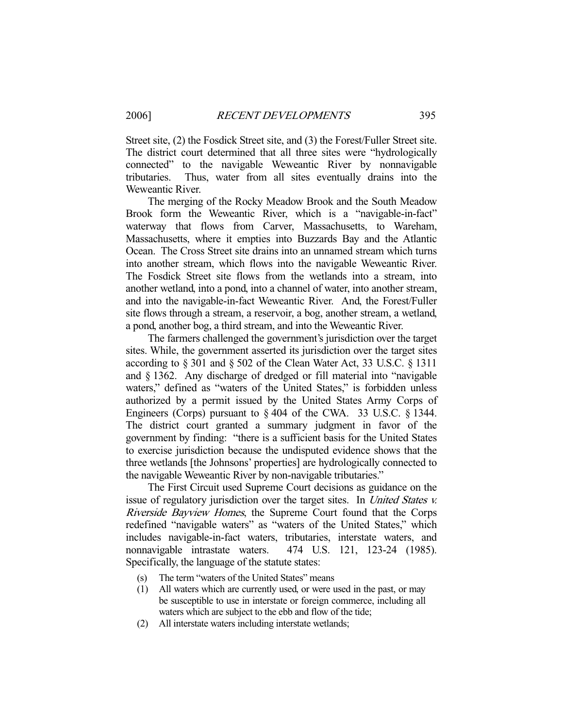Street site, (2) the Fosdick Street site, and (3) the Forest/Fuller Street site. The district court determined that all three sites were "hydrologically connected" to the navigable Weweantic River by nonnavigable tributaries. Thus, water from all sites eventually drains into the Weweantic River.

 The merging of the Rocky Meadow Brook and the South Meadow Brook form the Weweantic River, which is a "navigable-in-fact" waterway that flows from Carver, Massachusetts, to Wareham, Massachusetts, where it empties into Buzzards Bay and the Atlantic Ocean. The Cross Street site drains into an unnamed stream which turns into another stream, which flows into the navigable Weweantic River. The Fosdick Street site flows from the wetlands into a stream, into another wetland, into a pond, into a channel of water, into another stream, and into the navigable-in-fact Weweantic River. And, the Forest/Fuller site flows through a stream, a reservoir, a bog, another stream, a wetland, a pond, another bog, a third stream, and into the Weweantic River.

 The farmers challenged the government's jurisdiction over the target sites. While, the government asserted its jurisdiction over the target sites according to § 301 and § 502 of the Clean Water Act, 33 U.S.C. § 1311 and § 1362. Any discharge of dredged or fill material into "navigable waters," defined as "waters of the United States," is forbidden unless authorized by a permit issued by the United States Army Corps of Engineers (Corps) pursuant to § 404 of the CWA. 33 U.S.C. § 1344. The district court granted a summary judgment in favor of the government by finding: "there is a sufficient basis for the United States to exercise jurisdiction because the undisputed evidence shows that the three wetlands [the Johnsons' properties] are hydrologically connected to the navigable Weweantic River by non-navigable tributaries."

 The First Circuit used Supreme Court decisions as guidance on the issue of regulatory jurisdiction over the target sites. In United States v. Riverside Bayview Homes, the Supreme Court found that the Corps redefined "navigable waters" as "waters of the United States," which includes navigable-in-fact waters, tributaries, interstate waters, and nonnavigable intrastate waters. 474 U.S. 121, 123-24 (1985). Specifically, the language of the statute states:

- (s) The term "waters of the United States" means
- (1) All waters which are currently used, or were used in the past, or may be susceptible to use in interstate or foreign commerce, including all waters which are subject to the ebb and flow of the tide;
- (2) All interstate waters including interstate wetlands;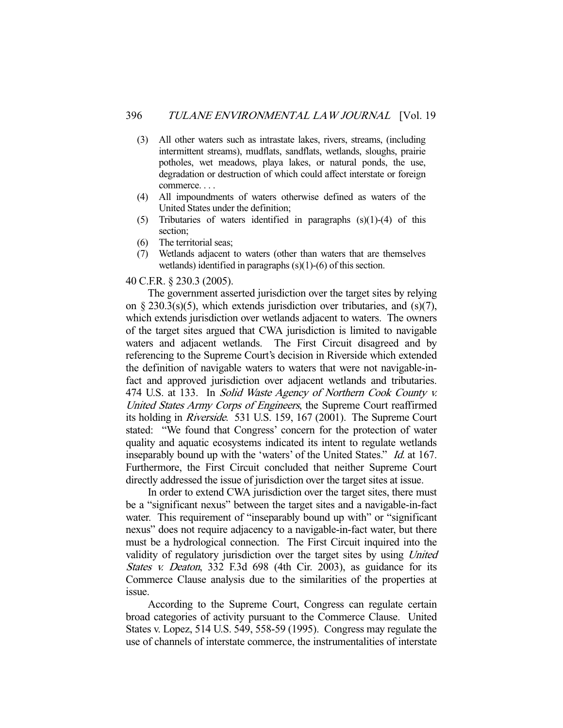- (3) All other waters such as intrastate lakes, rivers, streams, (including intermittent streams), mudflats, sandflats, wetlands, sloughs, prairie potholes, wet meadows, playa lakes, or natural ponds, the use, degradation or destruction of which could affect interstate or foreign commerce. . . .
- (4) All impoundments of waters otherwise defined as waters of the United States under the definition;
- (5) Tributaries of waters identified in paragraphs (s)(1)-(4) of this section;
- (6) The territorial seas;
- (7) Wetlands adjacent to waters (other than waters that are themselves wetlands) identified in paragraphs (s)(1)-(6) of this section.

#### 40 C.F.R. § 230.3 (2005).

 The government asserted jurisdiction over the target sites by relying on § 230.3(s)(5), which extends jurisdiction over tributaries, and (s)(7), which extends jurisdiction over wetlands adjacent to waters. The owners of the target sites argued that CWA jurisdiction is limited to navigable waters and adjacent wetlands. The First Circuit disagreed and by referencing to the Supreme Court's decision in Riverside which extended the definition of navigable waters to waters that were not navigable-infact and approved jurisdiction over adjacent wetlands and tributaries. 474 U.S. at 133. In Solid Waste Agency of Northern Cook County v. United States Army Corps of Engineers, the Supreme Court reaffirmed its holding in Riverside. 531 U.S. 159, 167 (2001). The Supreme Court stated: "We found that Congress' concern for the protection of water quality and aquatic ecosystems indicated its intent to regulate wetlands inseparably bound up with the 'waters' of the United States." *Id.* at 167. Furthermore, the First Circuit concluded that neither Supreme Court directly addressed the issue of jurisdiction over the target sites at issue.

 In order to extend CWA jurisdiction over the target sites, there must be a "significant nexus" between the target sites and a navigable-in-fact water. This requirement of "inseparably bound up with" or "significant nexus" does not require adjacency to a navigable-in-fact water, but there must be a hydrological connection. The First Circuit inquired into the validity of regulatory jurisdiction over the target sites by using United States v. Deaton, 332 F.3d 698 (4th Cir. 2003), as guidance for its Commerce Clause analysis due to the similarities of the properties at issue.

 According to the Supreme Court, Congress can regulate certain broad categories of activity pursuant to the Commerce Clause. United States v. Lopez, 514 U.S. 549, 558-59 (1995). Congress may regulate the use of channels of interstate commerce, the instrumentalities of interstate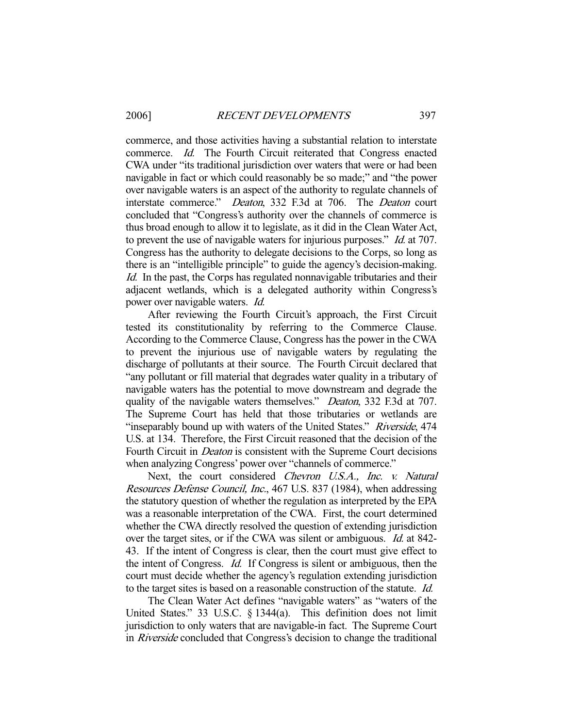commerce, and those activities having a substantial relation to interstate commerce. Id. The Fourth Circuit reiterated that Congress enacted CWA under "its traditional jurisdiction over waters that were or had been navigable in fact or which could reasonably be so made;" and "the power over navigable waters is an aspect of the authority to regulate channels of interstate commerce." Deaton, 332 F.3d at 706. The Deaton court concluded that "Congress's authority over the channels of commerce is thus broad enough to allow it to legislate, as it did in the Clean Water Act, to prevent the use of navigable waters for injurious purposes." Id. at 707. Congress has the authority to delegate decisions to the Corps, so long as there is an "intelligible principle" to guide the agency's decision-making. Id. In the past, the Corps has regulated nonnavigable tributaries and their adjacent wetlands, which is a delegated authority within Congress's power over navigable waters. Id.

 After reviewing the Fourth Circuit's approach, the First Circuit tested its constitutionality by referring to the Commerce Clause. According to the Commerce Clause, Congress has the power in the CWA to prevent the injurious use of navigable waters by regulating the discharge of pollutants at their source. The Fourth Circuit declared that "any pollutant or fill material that degrades water quality in a tributary of navigable waters has the potential to move downstream and degrade the quality of the navigable waters themselves." Deaton, 332 F.3d at 707. The Supreme Court has held that those tributaries or wetlands are "inseparably bound up with waters of the United States." Riverside, 474 U.S. at 134. Therefore, the First Circuit reasoned that the decision of the Fourth Circuit in Deaton is consistent with the Supreme Court decisions when analyzing Congress' power over "channels of commerce."

Next, the court considered *Chevron U.S.A.*, Inc. v. Natural Resources Defense Council, Inc., 467 U.S. 837 (1984), when addressing the statutory question of whether the regulation as interpreted by the EPA was a reasonable interpretation of the CWA. First, the court determined whether the CWA directly resolved the question of extending jurisdiction over the target sites, or if the CWA was silent or ambiguous. Id. at 842- 43. If the intent of Congress is clear, then the court must give effect to the intent of Congress. Id. If Congress is silent or ambiguous, then the court must decide whether the agency's regulation extending jurisdiction to the target sites is based on a reasonable construction of the statute. Id.

 The Clean Water Act defines "navigable waters" as "waters of the United States." 33 U.S.C. § 1344(a). This definition does not limit jurisdiction to only waters that are navigable-in fact. The Supreme Court in Riverside concluded that Congress's decision to change the traditional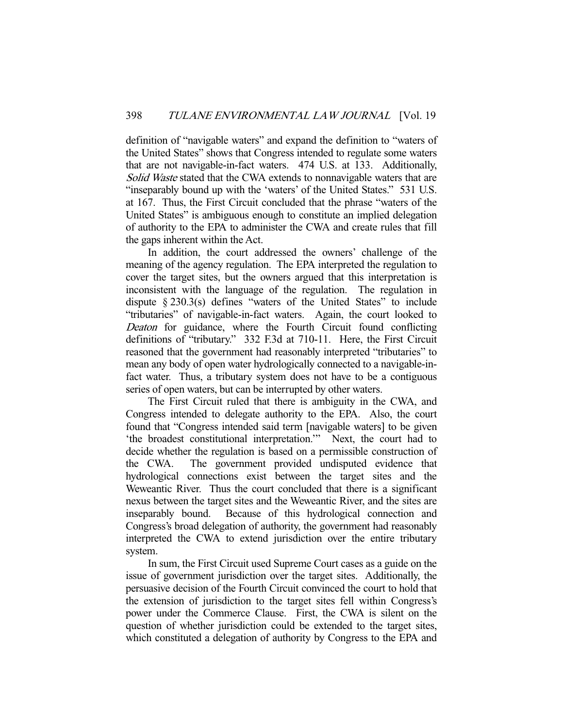definition of "navigable waters" and expand the definition to "waters of the United States" shows that Congress intended to regulate some waters that are not navigable-in-fact waters. 474 U.S. at 133. Additionally, Solid Waste stated that the CWA extends to nonnavigable waters that are "inseparably bound up with the 'waters' of the United States." 531 U.S. at 167. Thus, the First Circuit concluded that the phrase "waters of the United States" is ambiguous enough to constitute an implied delegation of authority to the EPA to administer the CWA and create rules that fill the gaps inherent within the Act.

 In addition, the court addressed the owners' challenge of the meaning of the agency regulation. The EPA interpreted the regulation to cover the target sites, but the owners argued that this interpretation is inconsistent with the language of the regulation. The regulation in dispute § 230.3(s) defines "waters of the United States" to include "tributaries" of navigable-in-fact waters. Again, the court looked to Deaton for guidance, where the Fourth Circuit found conflicting definitions of "tributary." 332 F.3d at 710-11. Here, the First Circuit reasoned that the government had reasonably interpreted "tributaries" to mean any body of open water hydrologically connected to a navigable-infact water. Thus, a tributary system does not have to be a contiguous series of open waters, but can be interrupted by other waters.

 The First Circuit ruled that there is ambiguity in the CWA, and Congress intended to delegate authority to the EPA. Also, the court found that "Congress intended said term [navigable waters] to be given 'the broadest constitutional interpretation.'" Next, the court had to decide whether the regulation is based on a permissible construction of the CWA. The government provided undisputed evidence that hydrological connections exist between the target sites and the Weweantic River. Thus the court concluded that there is a significant nexus between the target sites and the Weweantic River, and the sites are inseparably bound. Because of this hydrological connection and Congress's broad delegation of authority, the government had reasonably interpreted the CWA to extend jurisdiction over the entire tributary system.

 In sum, the First Circuit used Supreme Court cases as a guide on the issue of government jurisdiction over the target sites. Additionally, the persuasive decision of the Fourth Circuit convinced the court to hold that the extension of jurisdiction to the target sites fell within Congress's power under the Commerce Clause. First, the CWA is silent on the question of whether jurisdiction could be extended to the target sites, which constituted a delegation of authority by Congress to the EPA and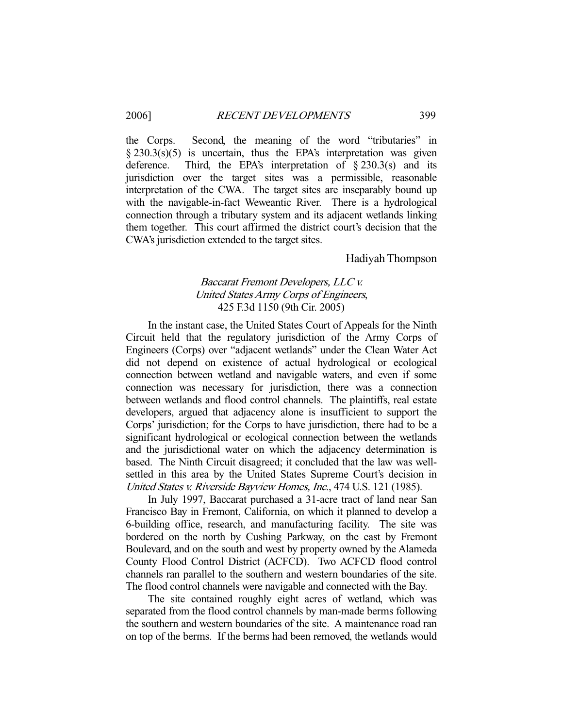the Corps. Second, the meaning of the word "tributaries" in  $\S 230.3(s)(5)$  is uncertain, thus the EPA's interpretation was given deference. Third, the EPA's interpretation of  $\S 230.3(s)$  and its jurisdiction over the target sites was a permissible, reasonable interpretation of the CWA. The target sites are inseparably bound up with the navigable-in-fact Weweantic River. There is a hydrological connection through a tributary system and its adjacent wetlands linking them together. This court affirmed the district court's decision that the CWA's jurisdiction extended to the target sites.

Hadiyah Thompson

# Baccarat Fremont Developers, LLC v. United States Army Corps of Engineers, 425 F.3d 1150 (9th Cir. 2005)

 In the instant case, the United States Court of Appeals for the Ninth Circuit held that the regulatory jurisdiction of the Army Corps of Engineers (Corps) over "adjacent wetlands" under the Clean Water Act did not depend on existence of actual hydrological or ecological connection between wetland and navigable waters, and even if some connection was necessary for jurisdiction, there was a connection between wetlands and flood control channels. The plaintiffs, real estate developers, argued that adjacency alone is insufficient to support the Corps' jurisdiction; for the Corps to have jurisdiction, there had to be a significant hydrological or ecological connection between the wetlands and the jurisdictional water on which the adjacency determination is based. The Ninth Circuit disagreed; it concluded that the law was wellsettled in this area by the United States Supreme Court's decision in United States v. Riverside Bayview Homes, Inc., 474 U.S. 121 (1985).

 In July 1997, Baccarat purchased a 31-acre tract of land near San Francisco Bay in Fremont, California, on which it planned to develop a 6-building office, research, and manufacturing facility. The site was bordered on the north by Cushing Parkway, on the east by Fremont Boulevard, and on the south and west by property owned by the Alameda County Flood Control District (ACFCD). Two ACFCD flood control channels ran parallel to the southern and western boundaries of the site. The flood control channels were navigable and connected with the Bay.

 The site contained roughly eight acres of wetland, which was separated from the flood control channels by man-made berms following the southern and western boundaries of the site. A maintenance road ran on top of the berms. If the berms had been removed, the wetlands would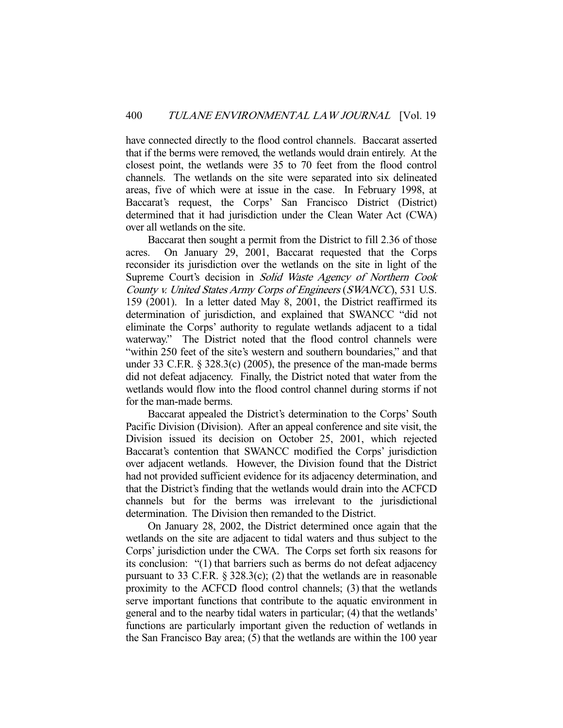have connected directly to the flood control channels. Baccarat asserted that if the berms were removed, the wetlands would drain entirely. At the closest point, the wetlands were 35 to 70 feet from the flood control channels. The wetlands on the site were separated into six delineated areas, five of which were at issue in the case. In February 1998, at Baccarat's request, the Corps' San Francisco District (District) determined that it had jurisdiction under the Clean Water Act (CWA) over all wetlands on the site.

 Baccarat then sought a permit from the District to fill 2.36 of those acres. On January 29, 2001, Baccarat requested that the Corps reconsider its jurisdiction over the wetlands on the site in light of the Supreme Court's decision in Solid Waste Agency of Northern Cook County v. United States Army Corps of Engineers (SWANCC), 531 U.S. 159 (2001). In a letter dated May 8, 2001, the District reaffirmed its determination of jurisdiction, and explained that SWANCC "did not eliminate the Corps' authority to regulate wetlands adjacent to a tidal waterway." The District noted that the flood control channels were "within 250 feet of the site's western and southern boundaries," and that under 33 C.F.R. § 328.3(c) (2005), the presence of the man-made berms did not defeat adjacency. Finally, the District noted that water from the wetlands would flow into the flood control channel during storms if not for the man-made berms.

 Baccarat appealed the District's determination to the Corps' South Pacific Division (Division). After an appeal conference and site visit, the Division issued its decision on October 25, 2001, which rejected Baccarat's contention that SWANCC modified the Corps' jurisdiction over adjacent wetlands. However, the Division found that the District had not provided sufficient evidence for its adjacency determination, and that the District's finding that the wetlands would drain into the ACFCD channels but for the berms was irrelevant to the jurisdictional determination. The Division then remanded to the District.

 On January 28, 2002, the District determined once again that the wetlands on the site are adjacent to tidal waters and thus subject to the Corps' jurisdiction under the CWA. The Corps set forth six reasons for its conclusion: "(1) that barriers such as berms do not defeat adjacency pursuant to 33 C.F.R. § 328.3(c); (2) that the wetlands are in reasonable proximity to the ACFCD flood control channels; (3) that the wetlands serve important functions that contribute to the aquatic environment in general and to the nearby tidal waters in particular; (4) that the wetlands' functions are particularly important given the reduction of wetlands in the San Francisco Bay area; (5) that the wetlands are within the 100 year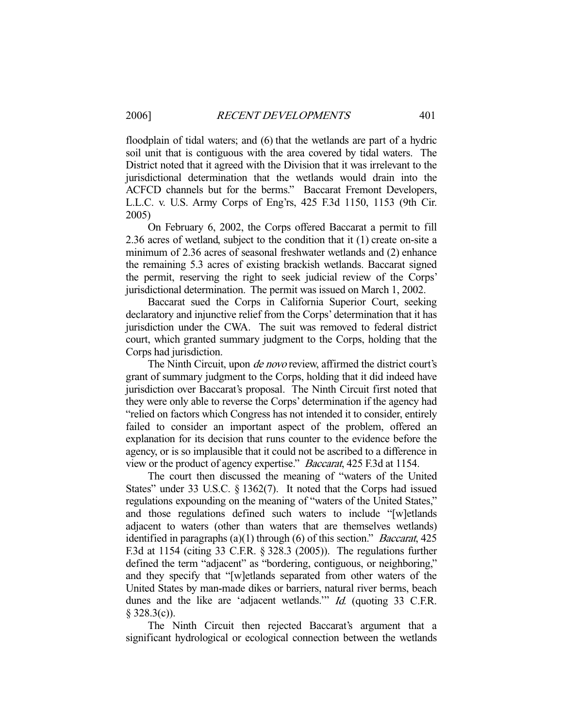floodplain of tidal waters; and (6) that the wetlands are part of a hydric soil unit that is contiguous with the area covered by tidal waters. The District noted that it agreed with the Division that it was irrelevant to the jurisdictional determination that the wetlands would drain into the ACFCD channels but for the berms." Baccarat Fremont Developers, L.L.C. v. U.S. Army Corps of Eng'rs, 425 F.3d 1150, 1153 (9th Cir. 2005)

 On February 6, 2002, the Corps offered Baccarat a permit to fill 2.36 acres of wetland, subject to the condition that it (1) create on-site a minimum of 2.36 acres of seasonal freshwater wetlands and (2) enhance the remaining 5.3 acres of existing brackish wetlands. Baccarat signed the permit, reserving the right to seek judicial review of the Corps' jurisdictional determination. The permit was issued on March 1, 2002.

 Baccarat sued the Corps in California Superior Court, seeking declaratory and injunctive relief from the Corps' determination that it has jurisdiction under the CWA. The suit was removed to federal district court, which granted summary judgment to the Corps, holding that the Corps had jurisdiction.

The Ninth Circuit, upon *de novo* review, affirmed the district court's grant of summary judgment to the Corps, holding that it did indeed have jurisdiction over Baccarat's proposal. The Ninth Circuit first noted that they were only able to reverse the Corps' determination if the agency had "relied on factors which Congress has not intended it to consider, entirely failed to consider an important aspect of the problem, offered an explanation for its decision that runs counter to the evidence before the agency, or is so implausible that it could not be ascribed to a difference in view or the product of agency expertise." Baccarat, 425 F.3d at 1154.

 The court then discussed the meaning of "waters of the United States" under 33 U.S.C. § 1362(7). It noted that the Corps had issued regulations expounding on the meaning of "waters of the United States," and those regulations defined such waters to include "[w]etlands adjacent to waters (other than waters that are themselves wetlands) identified in paragraphs (a)(1) through (6) of this section." Baccarat, 425 F.3d at 1154 (citing 33 C.F.R. § 328.3 (2005)). The regulations further defined the term "adjacent" as "bordering, contiguous, or neighboring," and they specify that "[w]etlands separated from other waters of the United States by man-made dikes or barriers, natural river berms, beach dunes and the like are 'adjacent wetlands.'" *Id.* (quoting 33 C.F.R. § 328.3(c)).

 The Ninth Circuit then rejected Baccarat's argument that a significant hydrological or ecological connection between the wetlands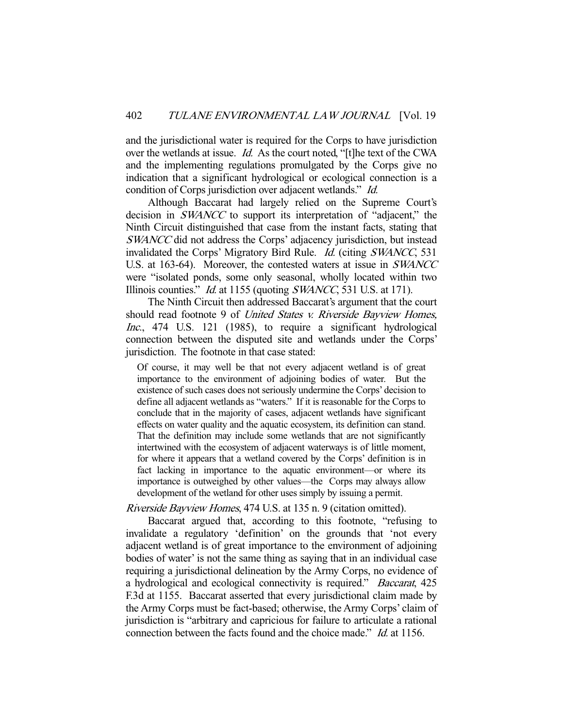and the jurisdictional water is required for the Corps to have jurisdiction over the wetlands at issue. Id. As the court noted, "[t]he text of the CWA and the implementing regulations promulgated by the Corps give no indication that a significant hydrological or ecological connection is a condition of Corps jurisdiction over adjacent wetlands." Id.

 Although Baccarat had largely relied on the Supreme Court's decision in SWANCC to support its interpretation of "adjacent," the Ninth Circuit distinguished that case from the instant facts, stating that SWANCC did not address the Corps' adjacency jurisdiction, but instead invalidated the Corps' Migratory Bird Rule. Id. (citing SWANCC, 531 U.S. at 163-64). Moreover, the contested waters at issue in SWANCC were "isolated ponds, some only seasonal, wholly located within two Illinois counties." Id. at 1155 (quoting SWANCC, 531 U.S. at 171).

 The Ninth Circuit then addressed Baccarat's argument that the court should read footnote 9 of *United States v. Riverside Bayview Homes*, Inc., 474 U.S. 121 (1985), to require a significant hydrological connection between the disputed site and wetlands under the Corps' jurisdiction. The footnote in that case stated:

Of course, it may well be that not every adjacent wetland is of great importance to the environment of adjoining bodies of water. But the existence of such cases does not seriously undermine the Corps' decision to define all adjacent wetlands as "waters." If it is reasonable for the Corps to conclude that in the majority of cases, adjacent wetlands have significant effects on water quality and the aquatic ecosystem, its definition can stand. That the definition may include some wetlands that are not significantly intertwined with the ecosystem of adjacent waterways is of little moment, for where it appears that a wetland covered by the Corps' definition is in fact lacking in importance to the aquatic environment—or where its importance is outweighed by other values—the Corps may always allow development of the wetland for other uses simply by issuing a permit.

Riverside Bayview Homes, 474 U.S. at 135 n. 9 (citation omitted).

 Baccarat argued that, according to this footnote, "refusing to invalidate a regulatory 'definition' on the grounds that 'not every adjacent wetland is of great importance to the environment of adjoining bodies of water' is not the same thing as saying that in an individual case requiring a jurisdictional delineation by the Army Corps, no evidence of a hydrological and ecological connectivity is required." Baccarat, 425 F.3d at 1155. Baccarat asserted that every jurisdictional claim made by the Army Corps must be fact-based; otherwise, the Army Corps' claim of jurisdiction is "arbitrary and capricious for failure to articulate a rational connection between the facts found and the choice made." *Id.* at 1156.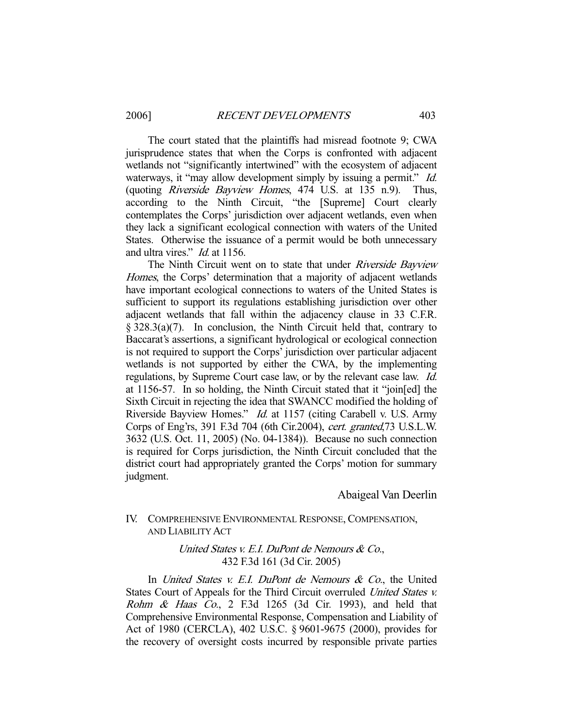The court stated that the plaintiffs had misread footnote 9; CWA jurisprudence states that when the Corps is confronted with adjacent wetlands not "significantly intertwined" with the ecosystem of adjacent waterways, it "may allow development simply by issuing a permit." *Id.* (quoting Riverside Bayview Homes, 474 U.S. at 135 n.9). Thus, according to the Ninth Circuit, "the [Supreme] Court clearly contemplates the Corps' jurisdiction over adjacent wetlands, even when they lack a significant ecological connection with waters of the United States. Otherwise the issuance of a permit would be both unnecessary and ultra vires." Id. at 1156.

The Ninth Circuit went on to state that under *Riverside Bayview* Homes, the Corps' determination that a majority of adjacent wetlands have important ecological connections to waters of the United States is sufficient to support its regulations establishing jurisdiction over other adjacent wetlands that fall within the adjacency clause in 33 C.F.R. § 328.3(a)(7). In conclusion, the Ninth Circuit held that, contrary to Baccarat's assertions, a significant hydrological or ecological connection is not required to support the Corps' jurisdiction over particular adjacent wetlands is not supported by either the CWA, by the implementing regulations, by Supreme Court case law, or by the relevant case law. Id. at 1156-57. In so holding, the Ninth Circuit stated that it "join[ed] the Sixth Circuit in rejecting the idea that SWANCC modified the holding of Riverside Bayview Homes." *Id.* at 1157 (citing Carabell v. U.S. Army Corps of Eng'rs, 391 F.3d 704 (6th Cir.2004), cert. granted,73 U.S.L.W. 3632 (U.S. Oct. 11, 2005) (No. 04-1384)). Because no such connection is required for Corps jurisdiction, the Ninth Circuit concluded that the district court had appropriately granted the Corps' motion for summary judgment.

## Abaigeal Van Deerlin

# IV. COMPREHENSIVE ENVIRONMENTAL RESPONSE, COMPENSATION, AND LIABILITY ACT

United States v. E.I. DuPont de Nemours & Co., 432 F.3d 161 (3d Cir. 2005)

 In United States v. E.I. DuPont de Nemours & Co., the United States Court of Appeals for the Third Circuit overruled United States v. Rohm & Haas Co., 2 F.3d 1265 (3d Cir. 1993), and held that Comprehensive Environmental Response, Compensation and Liability of Act of 1980 (CERCLA), 402 U.S.C. § 9601-9675 (2000), provides for the recovery of oversight costs incurred by responsible private parties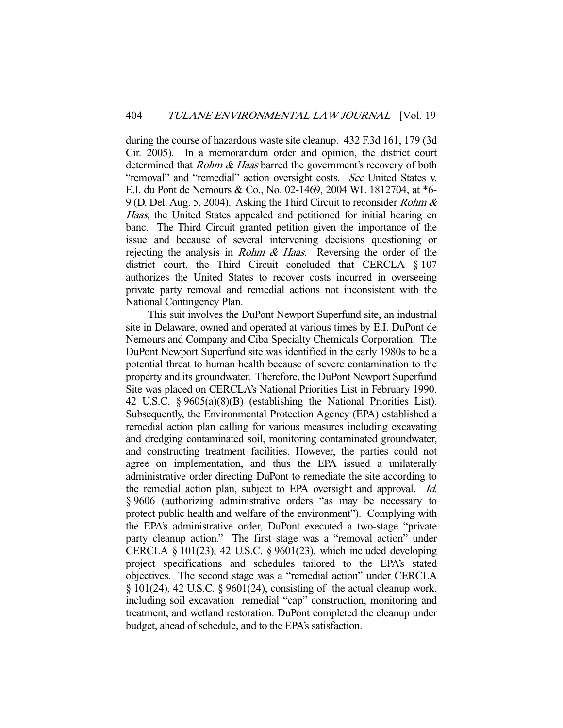during the course of hazardous waste site cleanup. 432 F.3d 161, 179 (3d Cir. 2005). In a memorandum order and opinion, the district court determined that *Rohm & Haas* barred the government's recovery of both "removal" and "remedial" action oversight costs. See United States v. E.I. du Pont de Nemours & Co., No. 02-1469, 2004 WL 1812704, at \*6- 9 (D. Del. Aug. 5, 2004). Asking the Third Circuit to reconsider Rohm  $\&$ Haas, the United States appealed and petitioned for initial hearing en banc. The Third Circuit granted petition given the importance of the issue and because of several intervening decisions questioning or rejecting the analysis in *Rohm & Haas*. Reversing the order of the district court, the Third Circuit concluded that CERCLA § 107 authorizes the United States to recover costs incurred in overseeing private party removal and remedial actions not inconsistent with the National Contingency Plan.

 This suit involves the DuPont Newport Superfund site, an industrial site in Delaware, owned and operated at various times by E.I. DuPont de Nemours and Company and Ciba Specialty Chemicals Corporation. The DuPont Newport Superfund site was identified in the early 1980s to be a potential threat to human health because of severe contamination to the property and its groundwater. Therefore, the DuPont Newport Superfund Site was placed on CERCLA's National Priorities List in February 1990. 42 U.S.C. § 9605(a)(8)(B) (establishing the National Priorities List). Subsequently, the Environmental Protection Agency (EPA) established a remedial action plan calling for various measures including excavating and dredging contaminated soil, monitoring contaminated groundwater, and constructing treatment facilities. However, the parties could not agree on implementation, and thus the EPA issued a unilaterally administrative order directing DuPont to remediate the site according to the remedial action plan, subject to EPA oversight and approval. Id. § 9606 (authorizing administrative orders "as may be necessary to protect public health and welfare of the environment"). Complying with the EPA's administrative order, DuPont executed a two-stage "private party cleanup action." The first stage was a "removal action" under CERCLA § 101(23), 42 U.S.C. § 9601(23), which included developing project specifications and schedules tailored to the EPA's stated objectives. The second stage was a "remedial action" under CERCLA  $\S$  101(24), 42 U.S.C.  $\S$  9601(24), consisting of the actual cleanup work, including soil excavation remedial "cap" construction, monitoring and treatment, and wetland restoration. DuPont completed the cleanup under budget, ahead of schedule, and to the EPA's satisfaction.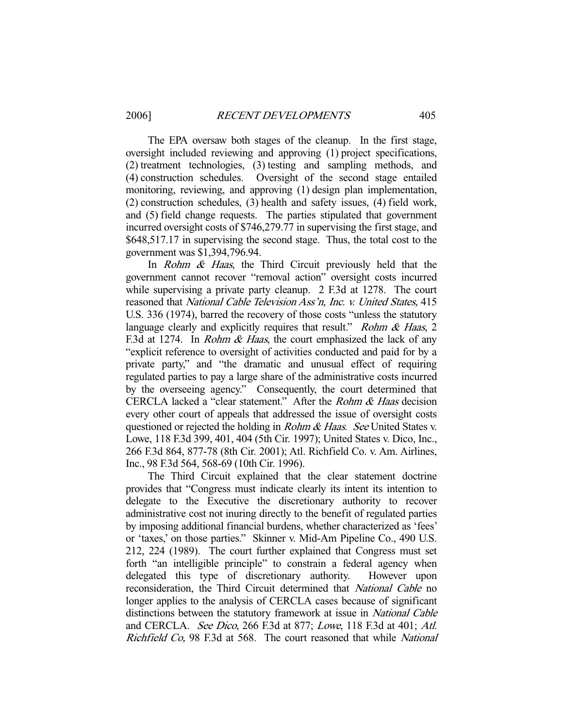The EPA oversaw both stages of the cleanup. In the first stage, oversight included reviewing and approving (1) project specifications, (2) treatment technologies, (3) testing and sampling methods, and (4) construction schedules. Oversight of the second stage entailed monitoring, reviewing, and approving (1) design plan implementation, (2) construction schedules, (3) health and safety issues, (4) field work, and (5) field change requests. The parties stipulated that government incurred oversight costs of \$746,279.77 in supervising the first stage, and \$648,517.17 in supervising the second stage. Thus, the total cost to the government was \$1,394,796.94.

In Rohm  $\&$  Haas, the Third Circuit previously held that the government cannot recover "removal action" oversight costs incurred while supervising a private party cleanup. 2 F.3d at 1278. The court reasoned that National Cable Television Ass'n, Inc. v. United States, 415 U.S. 336 (1974), barred the recovery of those costs "unless the statutory language clearly and explicitly requires that result." Rohm & Haas,  $2$ F.3d at 1274. In *Rohm & Haas*, the court emphasized the lack of any "explicit reference to oversight of activities conducted and paid for by a private party," and "the dramatic and unusual effect of requiring regulated parties to pay a large share of the administrative costs incurred by the overseeing agency." Consequently, the court determined that CERCLA lacked a "clear statement." After the Rohm & Haas decision every other court of appeals that addressed the issue of oversight costs questioned or rejected the holding in *Rohm & Haas. See* United States v. Lowe, 118 F.3d 399, 401, 404 (5th Cir. 1997); United States v. Dico, Inc., 266 F.3d 864, 877-78 (8th Cir. 2001); Atl. Richfield Co. v. Am. Airlines, Inc., 98 F.3d 564, 568-69 (10th Cir. 1996).

 The Third Circuit explained that the clear statement doctrine provides that "Congress must indicate clearly its intent its intention to delegate to the Executive the discretionary authority to recover administrative cost not inuring directly to the benefit of regulated parties by imposing additional financial burdens, whether characterized as 'fees' or 'taxes,' on those parties." Skinner v. Mid-Am Pipeline Co., 490 U.S. 212, 224 (1989). The court further explained that Congress must set forth "an intelligible principle" to constrain a federal agency when delegated this type of discretionary authority. However upon reconsideration, the Third Circuit determined that National Cable no longer applies to the analysis of CERCLA cases because of significant distinctions between the statutory framework at issue in National Cable and CERCLA. See Dico, 266 F.3d at 877; Lowe, 118 F.3d at 401; Atl. Richfield Co, 98 F.3d at 568. The court reasoned that while National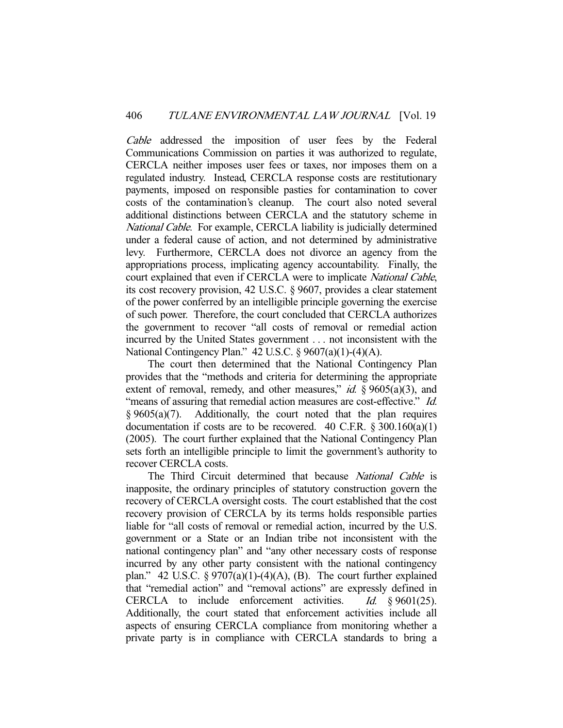Cable addressed the imposition of user fees by the Federal Communications Commission on parties it was authorized to regulate, CERCLA neither imposes user fees or taxes, nor imposes them on a regulated industry. Instead, CERCLA response costs are restitutionary payments, imposed on responsible pasties for contamination to cover costs of the contamination's cleanup. The court also noted several additional distinctions between CERCLA and the statutory scheme in National Cable. For example, CERCLA liability is judicially determined under a federal cause of action, and not determined by administrative levy. Furthermore, CERCLA does not divorce an agency from the appropriations process, implicating agency accountability. Finally, the court explained that even if CERCLA were to implicate National Cable, its cost recovery provision, 42 U.S.C. § 9607, provides a clear statement of the power conferred by an intelligible principle governing the exercise of such power. Therefore, the court concluded that CERCLA authorizes the government to recover "all costs of removal or remedial action incurred by the United States government . . . not inconsistent with the National Contingency Plan." 42 U.S.C. § 9607(a)(1)-(4)(A).

 The court then determined that the National Contingency Plan provides that the "methods and criteria for determining the appropriate extent of removal, remedy, and other measures," id.  $\S 9605(a)(3)$ , and "means of assuring that remedial action measures are cost-effective." Id. § 9605(a)(7). Additionally, the court noted that the plan requires documentation if costs are to be recovered. 40 C.F.R.  $\S 300.160(a)(1)$ (2005). The court further explained that the National Contingency Plan sets forth an intelligible principle to limit the government's authority to recover CERCLA costs.

The Third Circuit determined that because National Cable is inapposite, the ordinary principles of statutory construction govern the recovery of CERCLA oversight costs. The court established that the cost recovery provision of CERCLA by its terms holds responsible parties liable for "all costs of removal or remedial action, incurred by the U.S. government or a State or an Indian tribe not inconsistent with the national contingency plan" and "any other necessary costs of response incurred by any other party consistent with the national contingency plan." 42 U.S.C.  $\S 9707(a)(1)-(4)(A)$ , (B). The court further explained that "remedial action" and "removal actions" are expressly defined in CERCLA to include enforcement activities. Id. § 9601(25). Additionally, the court stated that enforcement activities include all aspects of ensuring CERCLA compliance from monitoring whether a private party is in compliance with CERCLA standards to bring a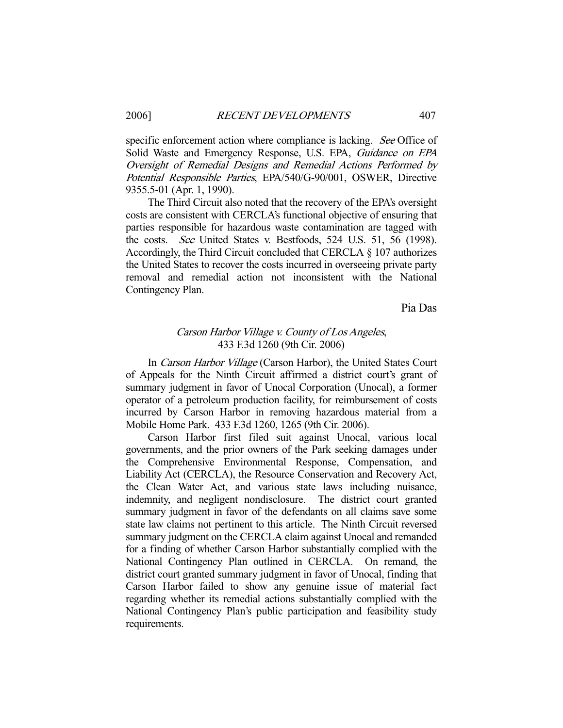specific enforcement action where compliance is lacking. See Office of Solid Waste and Emergency Response, U.S. EPA, Guidance on EPA Oversight of Remedial Designs and Remedial Actions Performed by Potential Responsible Parties, EPA/540/G-90/001, OSWER, Directive 9355.5-01 (Apr. 1, 1990).

 The Third Circuit also noted that the recovery of the EPA's oversight costs are consistent with CERCLA's functional objective of ensuring that parties responsible for hazardous waste contamination are tagged with the costs. See United States v. Bestfoods, 524 U.S. 51, 56 (1998). Accordingly, the Third Circuit concluded that CERCLA § 107 authorizes the United States to recover the costs incurred in overseeing private party removal and remedial action not inconsistent with the National Contingency Plan.

Pia Das

## Carson Harbor Village v. County of Los Angeles, 433 F.3d 1260 (9th Cir. 2006)

 In Carson Harbor Village (Carson Harbor), the United States Court of Appeals for the Ninth Circuit affirmed a district court's grant of summary judgment in favor of Unocal Corporation (Unocal), a former operator of a petroleum production facility, for reimbursement of costs incurred by Carson Harbor in removing hazardous material from a Mobile Home Park. 433 F.3d 1260, 1265 (9th Cir. 2006).

 Carson Harbor first filed suit against Unocal, various local governments, and the prior owners of the Park seeking damages under the Comprehensive Environmental Response, Compensation, and Liability Act (CERCLA), the Resource Conservation and Recovery Act, the Clean Water Act, and various state laws including nuisance, indemnity, and negligent nondisclosure. The district court granted summary judgment in favor of the defendants on all claims save some state law claims not pertinent to this article. The Ninth Circuit reversed summary judgment on the CERCLA claim against Unocal and remanded for a finding of whether Carson Harbor substantially complied with the National Contingency Plan outlined in CERCLA. On remand, the district court granted summary judgment in favor of Unocal, finding that Carson Harbor failed to show any genuine issue of material fact regarding whether its remedial actions substantially complied with the National Contingency Plan's public participation and feasibility study requirements.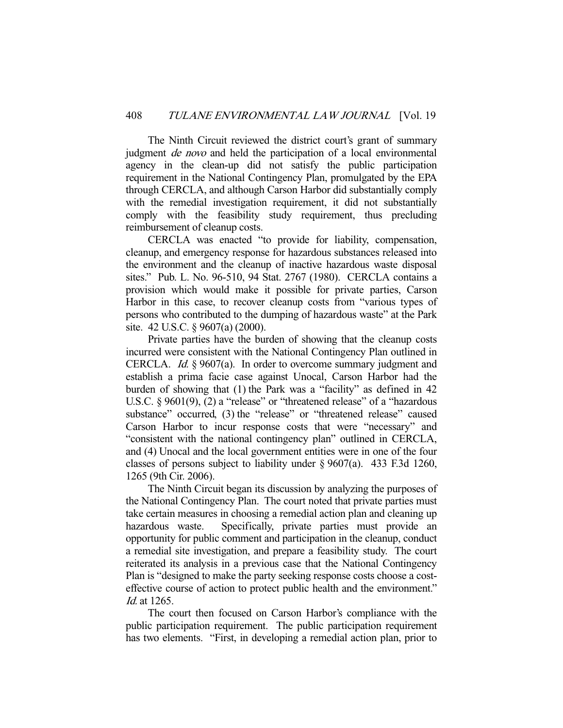The Ninth Circuit reviewed the district court's grant of summary judgment de novo and held the participation of a local environmental agency in the clean-up did not satisfy the public participation requirement in the National Contingency Plan, promulgated by the EPA through CERCLA, and although Carson Harbor did substantially comply with the remedial investigation requirement, it did not substantially comply with the feasibility study requirement, thus precluding reimbursement of cleanup costs.

 CERCLA was enacted "to provide for liability, compensation, cleanup, and emergency response for hazardous substances released into the environment and the cleanup of inactive hazardous waste disposal sites." Pub. L. No. 96-510, 94 Stat. 2767 (1980). CERCLA contains a provision which would make it possible for private parties, Carson Harbor in this case, to recover cleanup costs from "various types of persons who contributed to the dumping of hazardous waste" at the Park site. 42 U.S.C. § 9607(a) (2000).

 Private parties have the burden of showing that the cleanup costs incurred were consistent with the National Contingency Plan outlined in CERCLA. Id. § 9607(a). In order to overcome summary judgment and establish a prima facie case against Unocal, Carson Harbor had the burden of showing that (1) the Park was a "facility" as defined in 42 U.S.C. § 9601(9), (2) a "release" or "threatened release" of a "hazardous substance" occurred, (3) the "release" or "threatened release" caused Carson Harbor to incur response costs that were "necessary" and "consistent with the national contingency plan" outlined in CERCLA, and (4) Unocal and the local government entities were in one of the four classes of persons subject to liability under  $\S 9607(a)$ . 433 F.3d 1260, 1265 (9th Cir. 2006).

 The Ninth Circuit began its discussion by analyzing the purposes of the National Contingency Plan. The court noted that private parties must take certain measures in choosing a remedial action plan and cleaning up hazardous waste. Specifically, private parties must provide an opportunity for public comment and participation in the cleanup, conduct a remedial site investigation, and prepare a feasibility study. The court reiterated its analysis in a previous case that the National Contingency Plan is "designed to make the party seeking response costs choose a costeffective course of action to protect public health and the environment." Id. at 1265.

 The court then focused on Carson Harbor's compliance with the public participation requirement. The public participation requirement has two elements. "First, in developing a remedial action plan, prior to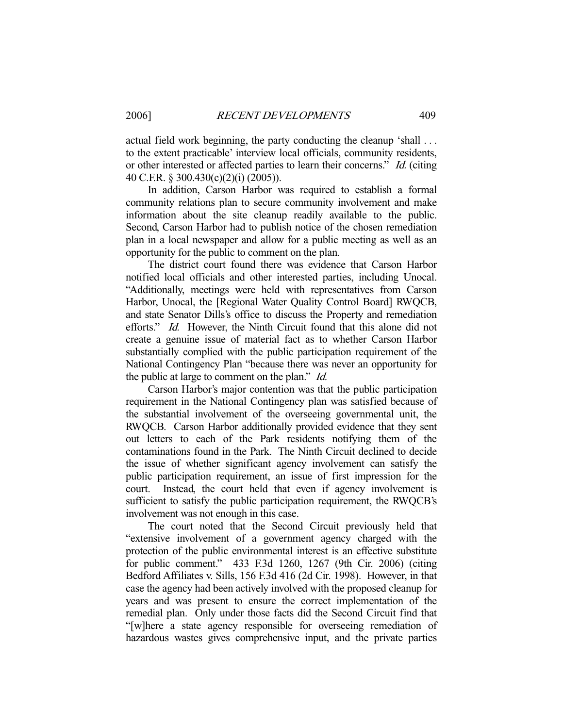actual field work beginning, the party conducting the cleanup 'shall . . . to the extent practicable' interview local officials, community residents, or other interested or affected parties to learn their concerns." Id. (citing 40 C.F.R. § 300.430(c)(2)(i) (2005)).

 In addition, Carson Harbor was required to establish a formal community relations plan to secure community involvement and make information about the site cleanup readily available to the public. Second, Carson Harbor had to publish notice of the chosen remediation plan in a local newspaper and allow for a public meeting as well as an opportunity for the public to comment on the plan.

 The district court found there was evidence that Carson Harbor notified local officials and other interested parties, including Unocal. "Additionally, meetings were held with representatives from Carson Harbor, Unocal, the [Regional Water Quality Control Board] RWQCB, and state Senator Dills's office to discuss the Property and remediation efforts." *Id.* However, the Ninth Circuit found that this alone did not create a genuine issue of material fact as to whether Carson Harbor substantially complied with the public participation requirement of the National Contingency Plan "because there was never an opportunity for the public at large to comment on the plan." Id.

 Carson Harbor's major contention was that the public participation requirement in the National Contingency plan was satisfied because of the substantial involvement of the overseeing governmental unit, the RWQCB. Carson Harbor additionally provided evidence that they sent out letters to each of the Park residents notifying them of the contaminations found in the Park. The Ninth Circuit declined to decide the issue of whether significant agency involvement can satisfy the public participation requirement, an issue of first impression for the court. Instead, the court held that even if agency involvement is sufficient to satisfy the public participation requirement, the RWQCB's involvement was not enough in this case.

 The court noted that the Second Circuit previously held that "extensive involvement of a government agency charged with the protection of the public environmental interest is an effective substitute for public comment." 433 F.3d 1260, 1267 (9th Cir. 2006) (citing Bedford Affiliates v. Sills, 156 F.3d 416 (2d Cir. 1998). However, in that case the agency had been actively involved with the proposed cleanup for years and was present to ensure the correct implementation of the remedial plan. Only under those facts did the Second Circuit find that "[w]here a state agency responsible for overseeing remediation of hazardous wastes gives comprehensive input, and the private parties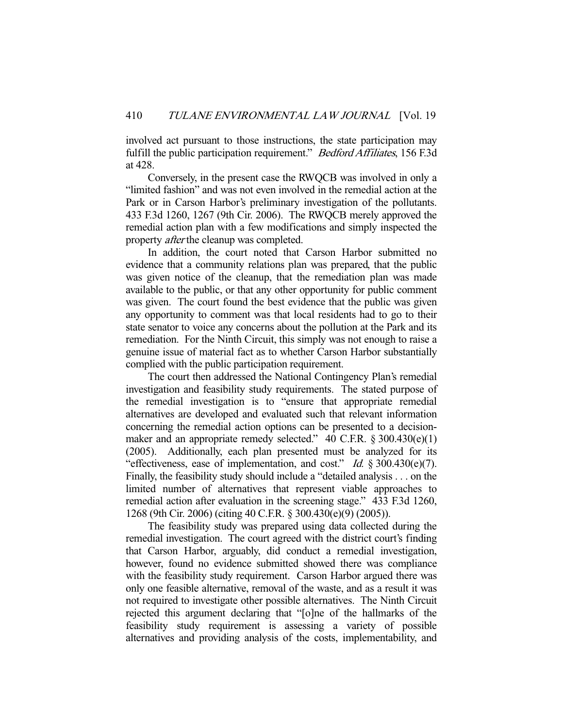involved act pursuant to those instructions, the state participation may fulfill the public participation requirement." *Bedford Affiliates*, 156 F.3d at 428.

 Conversely, in the present case the RWQCB was involved in only a "limited fashion" and was not even involved in the remedial action at the Park or in Carson Harbor's preliminary investigation of the pollutants. 433 F.3d 1260, 1267 (9th Cir. 2006). The RWQCB merely approved the remedial action plan with a few modifications and simply inspected the property *after* the cleanup was completed.

 In addition, the court noted that Carson Harbor submitted no evidence that a community relations plan was prepared, that the public was given notice of the cleanup, that the remediation plan was made available to the public, or that any other opportunity for public comment was given. The court found the best evidence that the public was given any opportunity to comment was that local residents had to go to their state senator to voice any concerns about the pollution at the Park and its remediation. For the Ninth Circuit, this simply was not enough to raise a genuine issue of material fact as to whether Carson Harbor substantially complied with the public participation requirement.

 The court then addressed the National Contingency Plan's remedial investigation and feasibility study requirements. The stated purpose of the remedial investigation is to "ensure that appropriate remedial alternatives are developed and evaluated such that relevant information concerning the remedial action options can be presented to a decisionmaker and an appropriate remedy selected." 40 C.F.R. § 300.430(e)(1) (2005). Additionally, each plan presented must be analyzed for its "effectiveness, ease of implementation, and cost." Id.  $\S 300.430(e)(7)$ . Finally, the feasibility study should include a "detailed analysis . . . on the limited number of alternatives that represent viable approaches to remedial action after evaluation in the screening stage." 433 F.3d 1260, 1268 (9th Cir. 2006) (citing 40 C.F.R. § 300.430(e)(9) (2005)).

 The feasibility study was prepared using data collected during the remedial investigation. The court agreed with the district court's finding that Carson Harbor, arguably, did conduct a remedial investigation, however, found no evidence submitted showed there was compliance with the feasibility study requirement. Carson Harbor argued there was only one feasible alternative, removal of the waste, and as a result it was not required to investigate other possible alternatives. The Ninth Circuit rejected this argument declaring that "[o]ne of the hallmarks of the feasibility study requirement is assessing a variety of possible alternatives and providing analysis of the costs, implementability, and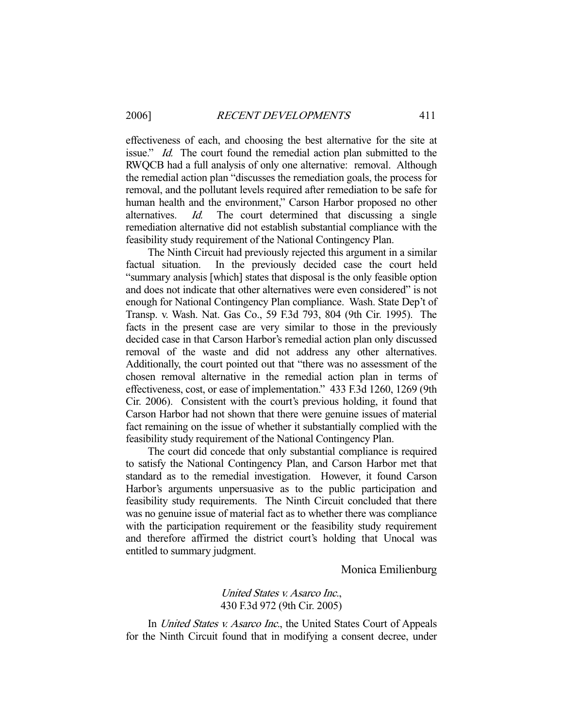effectiveness of each, and choosing the best alternative for the site at issue." Id. The court found the remedial action plan submitted to the RWQCB had a full analysis of only one alternative: removal. Although the remedial action plan "discusses the remediation goals, the process for removal, and the pollutant levels required after remediation to be safe for human health and the environment," Carson Harbor proposed no other alternatives. Id. The court determined that discussing a single remediation alternative did not establish substantial compliance with the feasibility study requirement of the National Contingency Plan.

 The Ninth Circuit had previously rejected this argument in a similar factual situation. In the previously decided case the court held "summary analysis [which] states that disposal is the only feasible option and does not indicate that other alternatives were even considered" is not enough for National Contingency Plan compliance. Wash. State Dep't of Transp. v. Wash. Nat. Gas Co., 59 F.3d 793, 804 (9th Cir. 1995). The facts in the present case are very similar to those in the previously decided case in that Carson Harbor's remedial action plan only discussed removal of the waste and did not address any other alternatives. Additionally, the court pointed out that "there was no assessment of the chosen removal alternative in the remedial action plan in terms of effectiveness, cost, or ease of implementation." 433 F.3d 1260, 1269 (9th Cir. 2006). Consistent with the court's previous holding, it found that Carson Harbor had not shown that there were genuine issues of material fact remaining on the issue of whether it substantially complied with the feasibility study requirement of the National Contingency Plan.

 The court did concede that only substantial compliance is required to satisfy the National Contingency Plan, and Carson Harbor met that standard as to the remedial investigation. However, it found Carson Harbor's arguments unpersuasive as to the public participation and feasibility study requirements. The Ninth Circuit concluded that there was no genuine issue of material fact as to whether there was compliance with the participation requirement or the feasibility study requirement and therefore affirmed the district court's holding that Unocal was entitled to summary judgment.

Monica Emilienburg

## United States v. Asarco Inc., 430 F.3d 972 (9th Cir. 2005)

In United States v. Asarco Inc., the United States Court of Appeals for the Ninth Circuit found that in modifying a consent decree, under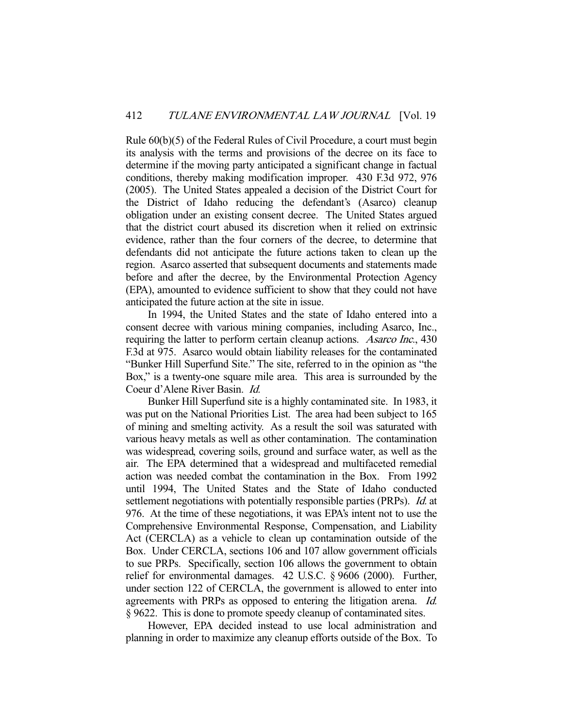Rule 60(b)(5) of the Federal Rules of Civil Procedure, a court must begin its analysis with the terms and provisions of the decree on its face to determine if the moving party anticipated a significant change in factual conditions, thereby making modification improper. 430 F.3d 972, 976 (2005). The United States appealed a decision of the District Court for the District of Idaho reducing the defendant's (Asarco) cleanup obligation under an existing consent decree. The United States argued that the district court abused its discretion when it relied on extrinsic evidence, rather than the four corners of the decree, to determine that defendants did not anticipate the future actions taken to clean up the region. Asarco asserted that subsequent documents and statements made before and after the decree, by the Environmental Protection Agency (EPA), amounted to evidence sufficient to show that they could not have anticipated the future action at the site in issue.

 In 1994, the United States and the state of Idaho entered into a consent decree with various mining companies, including Asarco, Inc., requiring the latter to perform certain cleanup actions. Asarco Inc., 430 F.3d at 975. Asarco would obtain liability releases for the contaminated "Bunker Hill Superfund Site." The site, referred to in the opinion as "the Box," is a twenty-one square mile area. This area is surrounded by the Coeur d'Alene River Basin. Id.

 Bunker Hill Superfund site is a highly contaminated site. In 1983, it was put on the National Priorities List. The area had been subject to 165 of mining and smelting activity. As a result the soil was saturated with various heavy metals as well as other contamination. The contamination was widespread, covering soils, ground and surface water, as well as the air. The EPA determined that a widespread and multifaceted remedial action was needed combat the contamination in the Box. From 1992 until 1994, The United States and the State of Idaho conducted settlement negotiations with potentially responsible parties (PRPs). *Id.* at 976. At the time of these negotiations, it was EPA's intent not to use the Comprehensive Environmental Response, Compensation, and Liability Act (CERCLA) as a vehicle to clean up contamination outside of the Box. Under CERCLA, sections 106 and 107 allow government officials to sue PRPs. Specifically, section 106 allows the government to obtain relief for environmental damages. 42 U.S.C. § 9606 (2000). Further, under section 122 of CERCLA, the government is allowed to enter into agreements with PRPs as opposed to entering the litigation arena. *Id.* § 9622. This is done to promote speedy cleanup of contaminated sites.

 However, EPA decided instead to use local administration and planning in order to maximize any cleanup efforts outside of the Box. To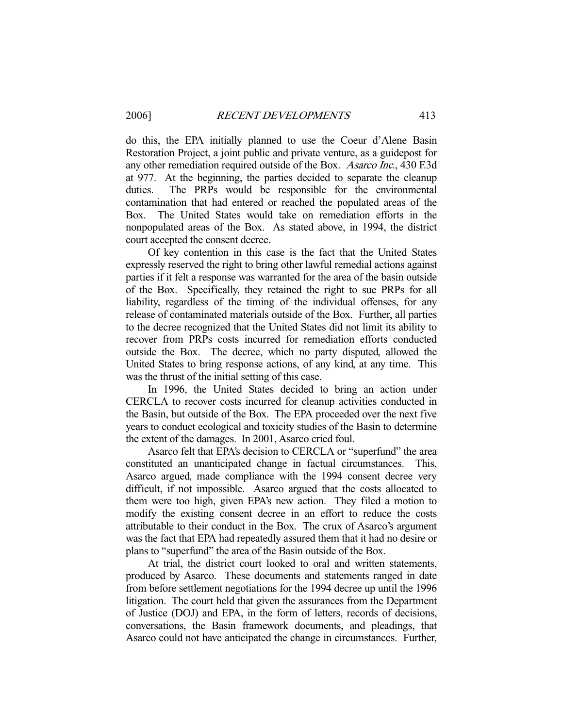do this, the EPA initially planned to use the Coeur d'Alene Basin Restoration Project, a joint public and private venture, as a guidepost for any other remediation required outside of the Box. Asarco Inc., 430 F.3d at 977. At the beginning, the parties decided to separate the cleanup duties. The PRPs would be responsible for the environmental contamination that had entered or reached the populated areas of the Box. The United States would take on remediation efforts in the nonpopulated areas of the Box. As stated above, in 1994, the district court accepted the consent decree.

 Of key contention in this case is the fact that the United States expressly reserved the right to bring other lawful remedial actions against parties if it felt a response was warranted for the area of the basin outside of the Box. Specifically, they retained the right to sue PRPs for all liability, regardless of the timing of the individual offenses, for any release of contaminated materials outside of the Box. Further, all parties to the decree recognized that the United States did not limit its ability to recover from PRPs costs incurred for remediation efforts conducted outside the Box. The decree, which no party disputed, allowed the United States to bring response actions, of any kind, at any time. This was the thrust of the initial setting of this case.

 In 1996, the United States decided to bring an action under CERCLA to recover costs incurred for cleanup activities conducted in the Basin, but outside of the Box. The EPA proceeded over the next five years to conduct ecological and toxicity studies of the Basin to determine the extent of the damages. In 2001, Asarco cried foul.

 Asarco felt that EPA's decision to CERCLA or "superfund" the area constituted an unanticipated change in factual circumstances. This, Asarco argued, made compliance with the 1994 consent decree very difficult, if not impossible. Asarco argued that the costs allocated to them were too high, given EPA's new action. They filed a motion to modify the existing consent decree in an effort to reduce the costs attributable to their conduct in the Box. The crux of Asarco's argument was the fact that EPA had repeatedly assured them that it had no desire or plans to "superfund" the area of the Basin outside of the Box.

 At trial, the district court looked to oral and written statements, produced by Asarco. These documents and statements ranged in date from before settlement negotiations for the 1994 decree up until the 1996 litigation. The court held that given the assurances from the Department of Justice (DOJ) and EPA, in the form of letters, records of decisions, conversations, the Basin framework documents, and pleadings, that Asarco could not have anticipated the change in circumstances. Further,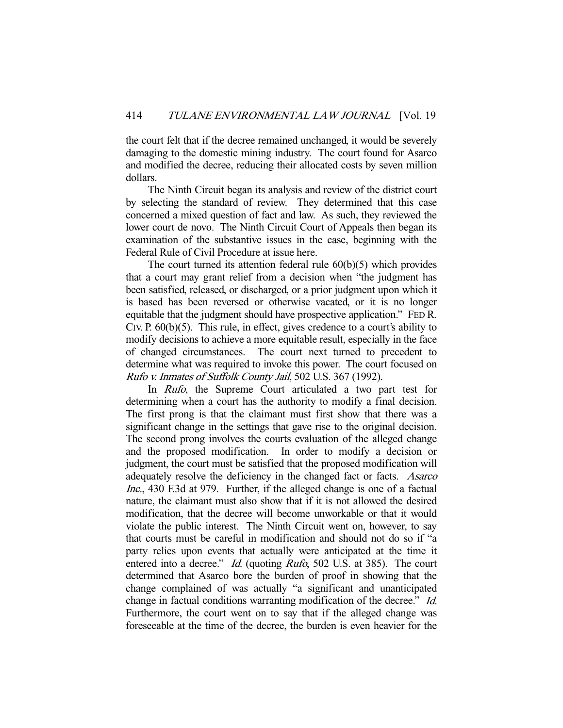the court felt that if the decree remained unchanged, it would be severely damaging to the domestic mining industry. The court found for Asarco and modified the decree, reducing their allocated costs by seven million dollars.

 The Ninth Circuit began its analysis and review of the district court by selecting the standard of review. They determined that this case concerned a mixed question of fact and law. As such, they reviewed the lower court de novo. The Ninth Circuit Court of Appeals then began its examination of the substantive issues in the case, beginning with the Federal Rule of Civil Procedure at issue here.

 The court turned its attention federal rule 60(b)(5) which provides that a court may grant relief from a decision when "the judgment has been satisfied, released, or discharged, or a prior judgment upon which it is based has been reversed or otherwise vacated, or it is no longer equitable that the judgment should have prospective application." FED R. CIV. P. 60(b)(5). This rule, in effect, gives credence to a court's ability to modify decisions to achieve a more equitable result, especially in the face of changed circumstances. The court next turned to precedent to determine what was required to invoke this power. The court focused on Rufo v. Inmates of Suffolk County Jail, 502 U.S. 367 (1992).

In *Rufo*, the Supreme Court articulated a two part test for determining when a court has the authority to modify a final decision. The first prong is that the claimant must first show that there was a significant change in the settings that gave rise to the original decision. The second prong involves the courts evaluation of the alleged change and the proposed modification. In order to modify a decision or judgment, the court must be satisfied that the proposed modification will adequately resolve the deficiency in the changed fact or facts. Asarco Inc., 430 F.3d at 979. Further, if the alleged change is one of a factual nature, the claimant must also show that if it is not allowed the desired modification, that the decree will become unworkable or that it would violate the public interest. The Ninth Circuit went on, however, to say that courts must be careful in modification and should not do so if "a party relies upon events that actually were anticipated at the time it entered into a decree." *Id.* (quoting *Rufo*, 502 U.S. at 385). The court determined that Asarco bore the burden of proof in showing that the change complained of was actually "a significant and unanticipated change in factual conditions warranting modification of the decree." Id. Furthermore, the court went on to say that if the alleged change was foreseeable at the time of the decree, the burden is even heavier for the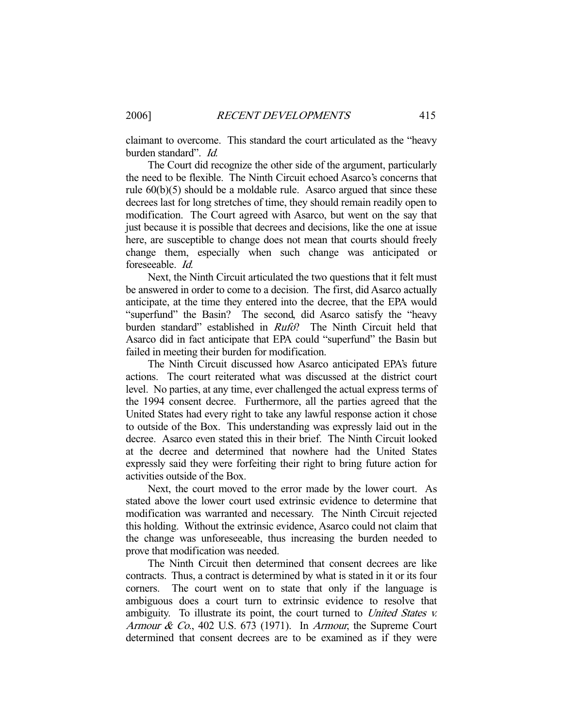claimant to overcome. This standard the court articulated as the "heavy burden standard". Id.

 The Court did recognize the other side of the argument, particularly the need to be flexible. The Ninth Circuit echoed Asarco's concerns that rule 60(b)(5) should be a moldable rule. Asarco argued that since these decrees last for long stretches of time, they should remain readily open to modification. The Court agreed with Asarco, but went on the say that just because it is possible that decrees and decisions, like the one at issue here, are susceptible to change does not mean that courts should freely change them, especially when such change was anticipated or foreseeable. Id.

 Next, the Ninth Circuit articulated the two questions that it felt must be answered in order to come to a decision. The first, did Asarco actually anticipate, at the time they entered into the decree, that the EPA would "superfund" the Basin? The second, did Asarco satisfy the "heavy burden standard" established in *Rufo*? The Ninth Circuit held that Asarco did in fact anticipate that EPA could "superfund" the Basin but failed in meeting their burden for modification.

 The Ninth Circuit discussed how Asarco anticipated EPA's future actions. The court reiterated what was discussed at the district court level. No parties, at any time, ever challenged the actual express terms of the 1994 consent decree. Furthermore, all the parties agreed that the United States had every right to take any lawful response action it chose to outside of the Box. This understanding was expressly laid out in the decree. Asarco even stated this in their brief. The Ninth Circuit looked at the decree and determined that nowhere had the United States expressly said they were forfeiting their right to bring future action for activities outside of the Box.

 Next, the court moved to the error made by the lower court. As stated above the lower court used extrinsic evidence to determine that modification was warranted and necessary. The Ninth Circuit rejected this holding. Without the extrinsic evidence, Asarco could not claim that the change was unforeseeable, thus increasing the burden needed to prove that modification was needed.

 The Ninth Circuit then determined that consent decrees are like contracts. Thus, a contract is determined by what is stated in it or its four corners. The court went on to state that only if the language is ambiguous does a court turn to extrinsic evidence to resolve that ambiguity. To illustrate its point, the court turned to *United States v.* Armour & Co., 402 U.S. 673 (1971). In Armour, the Supreme Court determined that consent decrees are to be examined as if they were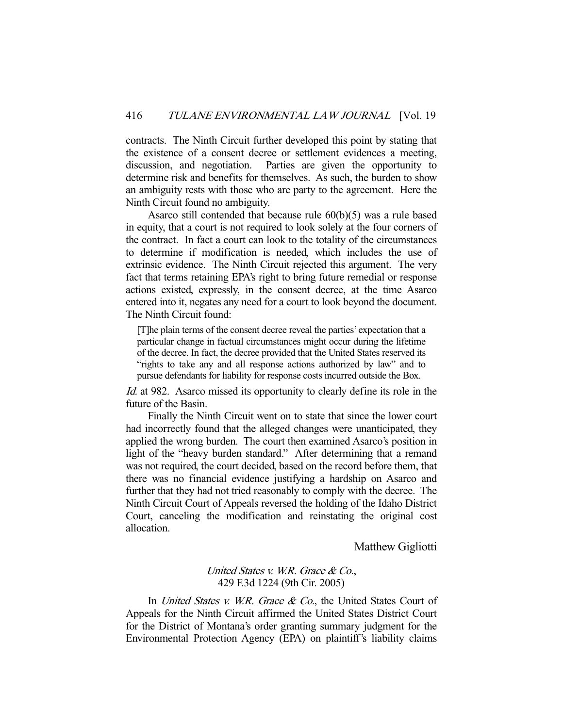contracts. The Ninth Circuit further developed this point by stating that the existence of a consent decree or settlement evidences a meeting, discussion, and negotiation. Parties are given the opportunity to determine risk and benefits for themselves. As such, the burden to show an ambiguity rests with those who are party to the agreement. Here the Ninth Circuit found no ambiguity.

 Asarco still contended that because rule 60(b)(5) was a rule based in equity, that a court is not required to look solely at the four corners of the contract. In fact a court can look to the totality of the circumstances to determine if modification is needed, which includes the use of extrinsic evidence. The Ninth Circuit rejected this argument. The very fact that terms retaining EPA's right to bring future remedial or response actions existed, expressly, in the consent decree, at the time Asarco entered into it, negates any need for a court to look beyond the document. The Ninth Circuit found:

[T]he plain terms of the consent decree reveal the parties' expectation that a particular change in factual circumstances might occur during the lifetime of the decree. In fact, the decree provided that the United States reserved its "rights to take any and all response actions authorized by law" and to pursue defendants for liability for response costs incurred outside the Box.

Id. at 982. Asarco missed its opportunity to clearly define its role in the future of the Basin.

 Finally the Ninth Circuit went on to state that since the lower court had incorrectly found that the alleged changes were unanticipated, they applied the wrong burden. The court then examined Asarco's position in light of the "heavy burden standard." After determining that a remand was not required, the court decided, based on the record before them, that there was no financial evidence justifying a hardship on Asarco and further that they had not tried reasonably to comply with the decree. The Ninth Circuit Court of Appeals reversed the holding of the Idaho District Court, canceling the modification and reinstating the original cost allocation.

Matthew Gigliotti

# United States v. W.R. Grace & Co., 429 F.3d 1224 (9th Cir. 2005)

In *United States v. W.R. Grace & Co.*, the United States Court of Appeals for the Ninth Circuit affirmed the United States District Court for the District of Montana's order granting summary judgment for the Environmental Protection Agency (EPA) on plaintiff's liability claims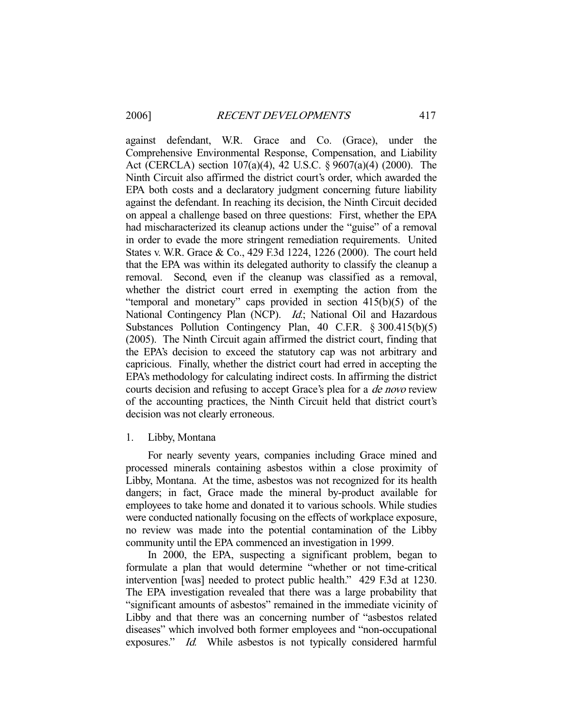against defendant, W.R. Grace and Co. (Grace), under the Comprehensive Environmental Response, Compensation, and Liability Act (CERCLA) section 107(a)(4), 42 U.S.C. § 9607(a)(4) (2000). The Ninth Circuit also affirmed the district court's order, which awarded the EPA both costs and a declaratory judgment concerning future liability against the defendant. In reaching its decision, the Ninth Circuit decided on appeal a challenge based on three questions: First, whether the EPA had mischaracterized its cleanup actions under the "guise" of a removal in order to evade the more stringent remediation requirements. United States v. W.R. Grace & Co., 429 F.3d 1224, 1226 (2000). The court held that the EPA was within its delegated authority to classify the cleanup a removal. Second, even if the cleanup was classified as a removal, whether the district court erred in exempting the action from the "temporal and monetary" caps provided in section 415(b)(5) of the National Contingency Plan (NCP). *Id.*; National Oil and Hazardous Substances Pollution Contingency Plan, 40 C.F.R. § 300.415(b)(5) (2005). The Ninth Circuit again affirmed the district court, finding that the EPA's decision to exceed the statutory cap was not arbitrary and capricious. Finally, whether the district court had erred in accepting the EPA's methodology for calculating indirect costs. In affirming the district courts decision and refusing to accept Grace's plea for a *de novo* review of the accounting practices, the Ninth Circuit held that district court's decision was not clearly erroneous.

#### 1. Libby, Montana

 For nearly seventy years, companies including Grace mined and processed minerals containing asbestos within a close proximity of Libby, Montana. At the time, asbestos was not recognized for its health dangers; in fact, Grace made the mineral by-product available for employees to take home and donated it to various schools. While studies were conducted nationally focusing on the effects of workplace exposure, no review was made into the potential contamination of the Libby community until the EPA commenced an investigation in 1999.

 In 2000, the EPA, suspecting a significant problem, began to formulate a plan that would determine "whether or not time-critical intervention [was] needed to protect public health." 429 F.3d at 1230. The EPA investigation revealed that there was a large probability that "significant amounts of asbestos" remained in the immediate vicinity of Libby and that there was an concerning number of "asbestos related diseases" which involved both former employees and "non-occupational exposures." Id. While asbestos is not typically considered harmful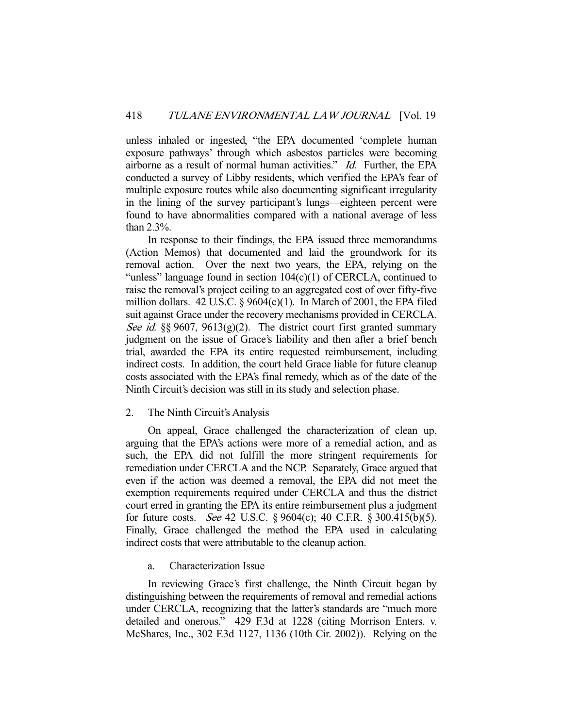unless inhaled or ingested, "the EPA documented 'complete human exposure pathways' through which asbestos particles were becoming airborne as a result of normal human activities." Id. Further, the EPA conducted a survey of Libby residents, which verified the EPA's fear of multiple exposure routes while also documenting significant irregularity in the lining of the survey participant's lungs—eighteen percent were found to have abnormalities compared with a national average of less than 2.3%.

 In response to their findings, the EPA issued three memorandums (Action Memos) that documented and laid the groundwork for its removal action. Over the next two years, the EPA, relying on the "unless" language found in section 104(c)(1) of CERCLA, continued to raise the removal's project ceiling to an aggregated cost of over fifty-five million dollars. 42 U.S.C. § 9604(c)(1). In March of 2001, the EPA filed suit against Grace under the recovery mechanisms provided in CERCLA. See id.  $\S$ § 9607, 9613(g)(2). The district court first granted summary judgment on the issue of Grace's liability and then after a brief bench trial, awarded the EPA its entire requested reimbursement, including indirect costs. In addition, the court held Grace liable for future cleanup costs associated with the EPA's final remedy, which as of the date of the Ninth Circuit's decision was still in its study and selection phase.

#### 2. The Ninth Circuit's Analysis

 On appeal, Grace challenged the characterization of clean up, arguing that the EPA's actions were more of a remedial action, and as such, the EPA did not fulfill the more stringent requirements for remediation under CERCLA and the NCP. Separately, Grace argued that even if the action was deemed a removal, the EPA did not meet the exemption requirements required under CERCLA and thus the district court erred in granting the EPA its entire reimbursement plus a judgment for future costs. See 42 U.S.C. § 9604(c); 40 C.F.R. § 300.415(b)(5). Finally, Grace challenged the method the EPA used in calculating indirect costs that were attributable to the cleanup action.

## a. Characterization Issue

 In reviewing Grace's first challenge, the Ninth Circuit began by distinguishing between the requirements of removal and remedial actions under CERCLA, recognizing that the latter's standards are "much more detailed and onerous." 429 F.3d at 1228 (citing Morrison Enters. v. McShares, Inc., 302 F.3d 1127, 1136 (10th Cir. 2002)). Relying on the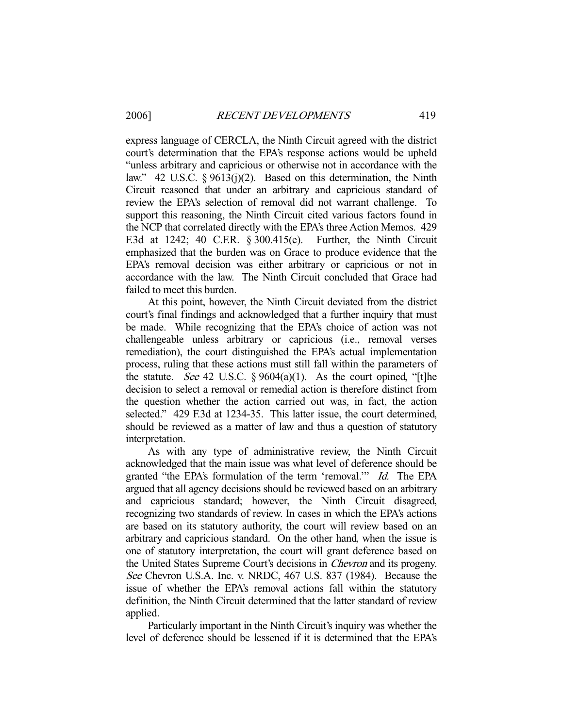express language of CERCLA, the Ninth Circuit agreed with the district court's determination that the EPA's response actions would be upheld "unless arbitrary and capricious or otherwise not in accordance with the law." 42 U.S.C. § 9613(j)(2). Based on this determination, the Ninth Circuit reasoned that under an arbitrary and capricious standard of review the EPA's selection of removal did not warrant challenge. To support this reasoning, the Ninth Circuit cited various factors found in the NCP that correlated directly with the EPA's three Action Memos. 429 F.3d at 1242; 40 C.F.R. § 300.415(e). Further, the Ninth Circuit emphasized that the burden was on Grace to produce evidence that the EPA's removal decision was either arbitrary or capricious or not in accordance with the law. The Ninth Circuit concluded that Grace had failed to meet this burden.

 At this point, however, the Ninth Circuit deviated from the district court's final findings and acknowledged that a further inquiry that must be made. While recognizing that the EPA's choice of action was not challengeable unless arbitrary or capricious (i.e., removal verses remediation), the court distinguished the EPA's actual implementation process, ruling that these actions must still fall within the parameters of the statute. See 42 U.S.C.  $\S 9604(a)(1)$ . As the court opined, "[t]he decision to select a removal or remedial action is therefore distinct from the question whether the action carried out was, in fact, the action selected." 429 F.3d at 1234-35. This latter issue, the court determined, should be reviewed as a matter of law and thus a question of statutory interpretation.

 As with any type of administrative review, the Ninth Circuit acknowledged that the main issue was what level of deference should be granted "the EPA's formulation of the term 'removal.'" Id. The EPA argued that all agency decisions should be reviewed based on an arbitrary and capricious standard; however, the Ninth Circuit disagreed, recognizing two standards of review. In cases in which the EPA's actions are based on its statutory authority, the court will review based on an arbitrary and capricious standard. On the other hand, when the issue is one of statutory interpretation, the court will grant deference based on the United States Supreme Court's decisions in Chevron and its progeny. See Chevron U.S.A. Inc. v. NRDC, 467 U.S. 837 (1984). Because the issue of whether the EPA's removal actions fall within the statutory definition, the Ninth Circuit determined that the latter standard of review applied.

 Particularly important in the Ninth Circuit's inquiry was whether the level of deference should be lessened if it is determined that the EPA's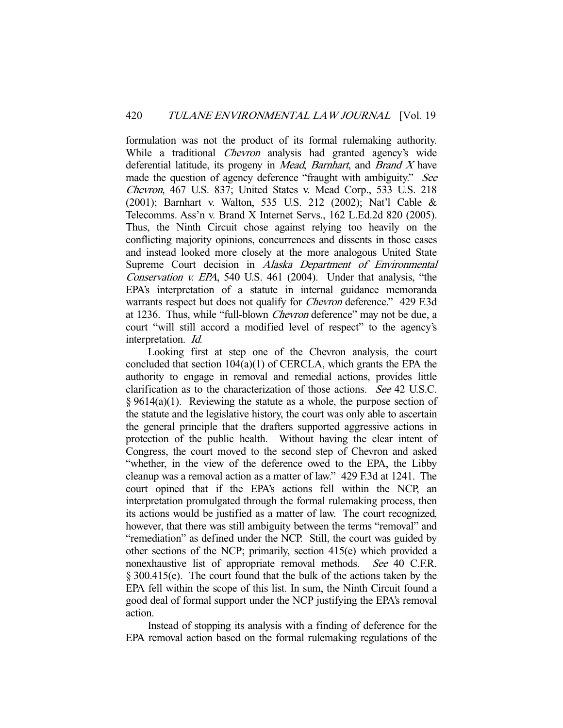formulation was not the product of its formal rulemaking authority. While a traditional *Chevron* analysis had granted agency's wide deferential latitude, its progeny in *Mead*, *Barnhart*, and *Brand X* have made the question of agency deference "fraught with ambiguity." See Chevron, 467 U.S. 837; United States v. Mead Corp., 533 U.S. 218 (2001); Barnhart v. Walton, 535 U.S. 212 (2002); Nat'l Cable & Telecomms. Ass'n v. Brand X Internet Servs., 162 L.Ed.2d 820 (2005). Thus, the Ninth Circuit chose against relying too heavily on the conflicting majority opinions, concurrences and dissents in those cases and instead looked more closely at the more analogous United State Supreme Court decision in Alaska Department of Environmental Conservation v. EPA, 540 U.S. 461 (2004). Under that analysis, "the EPA's interpretation of a statute in internal guidance memoranda warrants respect but does not qualify for *Chevron* deference." 429 F.3d at 1236. Thus, while "full-blown Chevron deference" may not be due, a court "will still accord a modified level of respect" to the agency's interpretation. Id.

 Looking first at step one of the Chevron analysis, the court concluded that section 104(a)(1) of CERCLA, which grants the EPA the authority to engage in removal and remedial actions, provides little clarification as to the characterization of those actions. See 42 U.S.C.  $\S 9614(a)(1)$ . Reviewing the statute as a whole, the purpose section of the statute and the legislative history, the court was only able to ascertain the general principle that the drafters supported aggressive actions in protection of the public health. Without having the clear intent of Congress, the court moved to the second step of Chevron and asked "whether, in the view of the deference owed to the EPA, the Libby cleanup was a removal action as a matter of law." 429 F.3d at 1241. The court opined that if the EPA's actions fell within the NCP, an interpretation promulgated through the formal rulemaking process, then its actions would be justified as a matter of law. The court recognized, however, that there was still ambiguity between the terms "removal" and "remediation" as defined under the NCP. Still, the court was guided by other sections of the NCP; primarily, section 415(e) which provided a nonexhaustive list of appropriate removal methods. See 40 C.F.R. § 300.415(e). The court found that the bulk of the actions taken by the EPA fell within the scope of this list. In sum, the Ninth Circuit found a good deal of formal support under the NCP justifying the EPA's removal action.

 Instead of stopping its analysis with a finding of deference for the EPA removal action based on the formal rulemaking regulations of the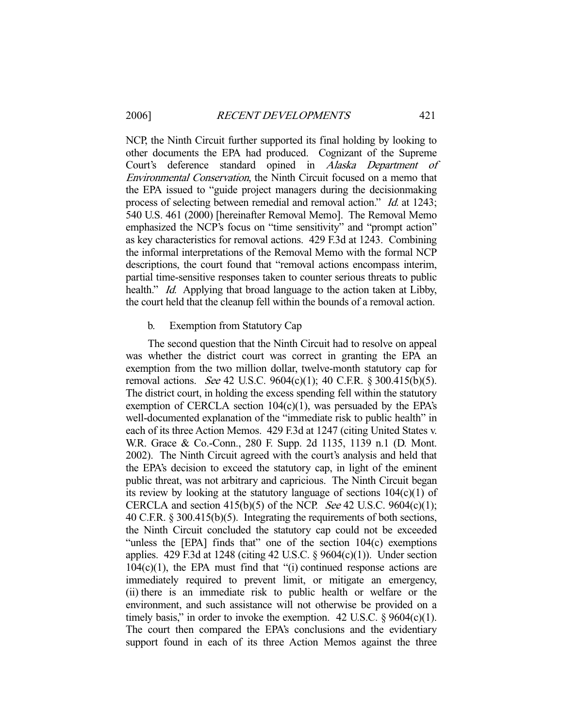NCP, the Ninth Circuit further supported its final holding by looking to other documents the EPA had produced. Cognizant of the Supreme Court's deference standard opined in Alaska Department of Environmental Conservation, the Ninth Circuit focused on a memo that the EPA issued to "guide project managers during the decisionmaking process of selecting between remedial and removal action." *Id.* at 1243; 540 U.S. 461 (2000) [hereinafter Removal Memo]. The Removal Memo emphasized the NCP's focus on "time sensitivity" and "prompt action" as key characteristics for removal actions. 429 F.3d at 1243. Combining the informal interpretations of the Removal Memo with the formal NCP descriptions, the court found that "removal actions encompass interim, partial time-sensitive responses taken to counter serious threats to public health." *Id.* Applying that broad language to the action taken at Libby, the court held that the cleanup fell within the bounds of a removal action.

## b. Exemption from Statutory Cap

 The second question that the Ninth Circuit had to resolve on appeal was whether the district court was correct in granting the EPA an exemption from the two million dollar, twelve-month statutory cap for removal actions. See 42 U.S.C. 9604(c)(1); 40 C.F.R. § 300.415(b)(5). The district court, in holding the excess spending fell within the statutory exemption of CERCLA section 104(c)(1), was persuaded by the EPA's well-documented explanation of the "immediate risk to public health" in each of its three Action Memos. 429 F.3d at 1247 (citing United States v. W.R. Grace & Co.-Conn., 280 F. Supp. 2d 1135, 1139 n.1 (D. Mont. 2002). The Ninth Circuit agreed with the court's analysis and held that the EPA's decision to exceed the statutory cap, in light of the eminent public threat, was not arbitrary and capricious. The Ninth Circuit began its review by looking at the statutory language of sections  $104(c)(1)$  of CERCLA and section  $415(b)(5)$  of the NCP. See 42 U.S.C. 9604(c)(1); 40 C.F.R. § 300.415(b)(5). Integrating the requirements of both sections, the Ninth Circuit concluded the statutory cap could not be exceeded "unless the [EPA] finds that" one of the section 104(c) exemptions applies. 429 F.3d at 1248 (citing 42 U.S.C. § 9604(c)(1)). Under section  $104(c)(1)$ , the EPA must find that "(i) continued response actions are immediately required to prevent limit, or mitigate an emergency, (ii) there is an immediate risk to public health or welfare or the environment, and such assistance will not otherwise be provided on a timely basis," in order to invoke the exemption.  $42 \text{ U.S.C.}$  §  $9604(c)(1)$ . The court then compared the EPA's conclusions and the evidentiary support found in each of its three Action Memos against the three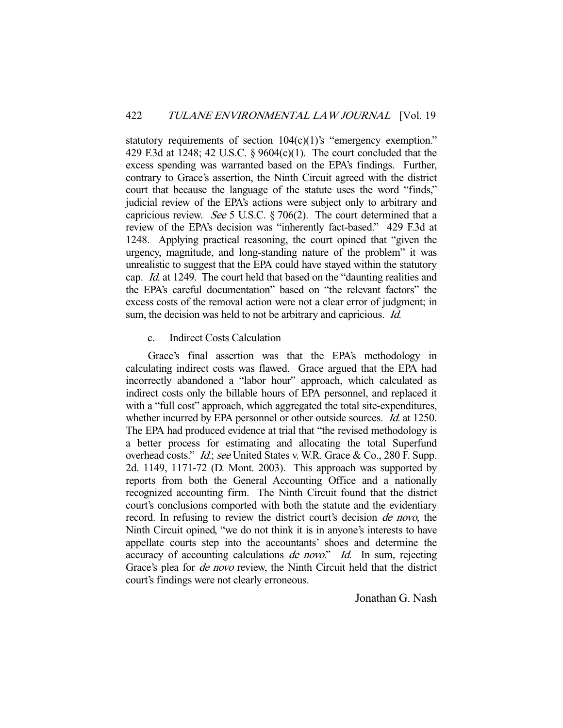statutory requirements of section  $104(c)(1)$ 's "emergency exemption." 429 F.3d at 1248; 42 U.S.C. § 9604(c)(1). The court concluded that the excess spending was warranted based on the EPA's findings. Further, contrary to Grace's assertion, the Ninth Circuit agreed with the district court that because the language of the statute uses the word "finds," judicial review of the EPA's actions were subject only to arbitrary and capricious review. See 5 U.S.C. § 706(2). The court determined that a review of the EPA's decision was "inherently fact-based." 429 F.3d at 1248. Applying practical reasoning, the court opined that "given the urgency, magnitude, and long-standing nature of the problem" it was unrealistic to suggest that the EPA could have stayed within the statutory cap. Id. at 1249. The court held that based on the "daunting realities and the EPA's careful documentation" based on "the relevant factors" the excess costs of the removal action were not a clear error of judgment; in sum, the decision was held to not be arbitrary and capricious. *Id.* 

#### c. Indirect Costs Calculation

 Grace's final assertion was that the EPA's methodology in calculating indirect costs was flawed. Grace argued that the EPA had incorrectly abandoned a "labor hour" approach, which calculated as indirect costs only the billable hours of EPA personnel, and replaced it with a "full cost" approach, which aggregated the total site-expenditures, whether incurred by EPA personnel or other outside sources. *Id.* at 1250. The EPA had produced evidence at trial that "the revised methodology is a better process for estimating and allocating the total Superfund overhead costs." *Id.*; see United States v. W.R. Grace & Co., 280 F. Supp. 2d. 1149, 1171-72 (D. Mont. 2003). This approach was supported by reports from both the General Accounting Office and a nationally recognized accounting firm. The Ninth Circuit found that the district court's conclusions comported with both the statute and the evidentiary record. In refusing to review the district court's decision de novo, the Ninth Circuit opined, "we do not think it is in anyone's interests to have appellate courts step into the accountants' shoes and determine the accuracy of accounting calculations de novo." Id. In sum, rejecting Grace's plea for de novo review, the Ninth Circuit held that the district court's findings were not clearly erroneous.

## Jonathan G. Nash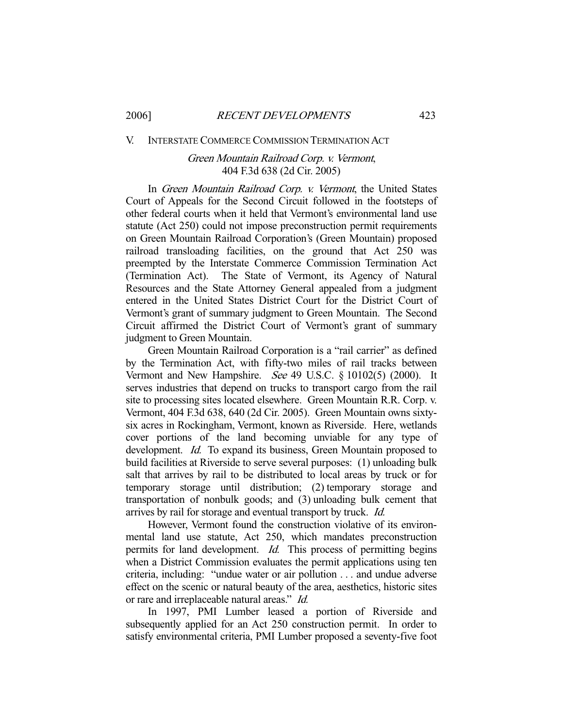#### V. INTERSTATE COMMERCE COMMISSION TERMINATION ACT

# Green Mountain Railroad Corp. v. Vermont, 404 F.3d 638 (2d Cir. 2005)

In Green Mountain Railroad Corp. v. Vermont, the United States Court of Appeals for the Second Circuit followed in the footsteps of other federal courts when it held that Vermont's environmental land use statute (Act 250) could not impose preconstruction permit requirements on Green Mountain Railroad Corporation's (Green Mountain) proposed railroad transloading facilities, on the ground that Act 250 was preempted by the Interstate Commerce Commission Termination Act (Termination Act). The State of Vermont, its Agency of Natural Resources and the State Attorney General appealed from a judgment entered in the United States District Court for the District Court of Vermont's grant of summary judgment to Green Mountain. The Second Circuit affirmed the District Court of Vermont's grant of summary judgment to Green Mountain.

 Green Mountain Railroad Corporation is a "rail carrier" as defined by the Termination Act, with fifty-two miles of rail tracks between Vermont and New Hampshire. See 49 U.S.C. § 10102(5) (2000). It serves industries that depend on trucks to transport cargo from the rail site to processing sites located elsewhere. Green Mountain R.R. Corp. v. Vermont, 404 F.3d 638, 640 (2d Cir. 2005). Green Mountain owns sixtysix acres in Rockingham, Vermont, known as Riverside. Here, wetlands cover portions of the land becoming unviable for any type of development. *Id.* To expand its business, Green Mountain proposed to build facilities at Riverside to serve several purposes: (1) unloading bulk salt that arrives by rail to be distributed to local areas by truck or for temporary storage until distribution; (2) temporary storage and transportation of nonbulk goods; and (3) unloading bulk cement that arrives by rail for storage and eventual transport by truck. Id.

 However, Vermont found the construction violative of its environmental land use statute, Act 250, which mandates preconstruction permits for land development. *Id.* This process of permitting begins when a District Commission evaluates the permit applications using ten criteria, including: "undue water or air pollution . . . and undue adverse effect on the scenic or natural beauty of the area, aesthetics, historic sites or rare and irreplaceable natural areas." Id.

 In 1997, PMI Lumber leased a portion of Riverside and subsequently applied for an Act 250 construction permit. In order to satisfy environmental criteria, PMI Lumber proposed a seventy-five foot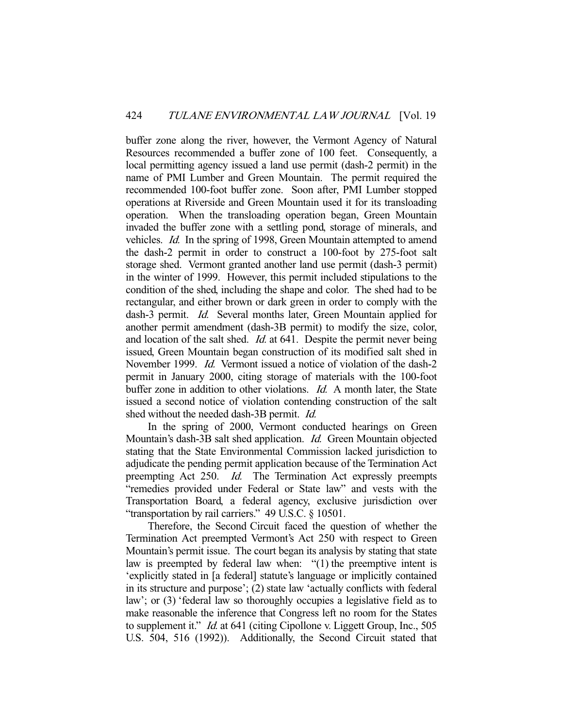buffer zone along the river, however, the Vermont Agency of Natural Resources recommended a buffer zone of 100 feet. Consequently, a local permitting agency issued a land use permit (dash-2 permit) in the name of PMI Lumber and Green Mountain. The permit required the recommended 100-foot buffer zone. Soon after, PMI Lumber stopped operations at Riverside and Green Mountain used it for its transloading operation. When the transloading operation began, Green Mountain invaded the buffer zone with a settling pond, storage of minerals, and vehicles. Id. In the spring of 1998, Green Mountain attempted to amend the dash-2 permit in order to construct a 100-foot by 275-foot salt storage shed. Vermont granted another land use permit (dash-3 permit) in the winter of 1999. However, this permit included stipulations to the condition of the shed, including the shape and color. The shed had to be rectangular, and either brown or dark green in order to comply with the dash-3 permit. Id. Several months later, Green Mountain applied for another permit amendment (dash-3B permit) to modify the size, color, and location of the salt shed. *Id.* at 641. Despite the permit never being issued, Green Mountain began construction of its modified salt shed in November 1999. Id. Vermont issued a notice of violation of the dash-2 permit in January 2000, citing storage of materials with the 100-foot buffer zone in addition to other violations. Id. A month later, the State issued a second notice of violation contending construction of the salt shed without the needed dash-3B permit. Id.

 In the spring of 2000, Vermont conducted hearings on Green Mountain's dash-3B salt shed application. *Id.* Green Mountain objected stating that the State Environmental Commission lacked jurisdiction to adjudicate the pending permit application because of the Termination Act preempting Act 250. Id. The Termination Act expressly preempts "remedies provided under Federal or State law" and vests with the Transportation Board, a federal agency, exclusive jurisdiction over "transportation by rail carriers." 49 U.S.C. § 10501.

 Therefore, the Second Circuit faced the question of whether the Termination Act preempted Vermont's Act 250 with respect to Green Mountain's permit issue. The court began its analysis by stating that state law is preempted by federal law when: "(1) the preemptive intent is 'explicitly stated in [a federal] statute's language or implicitly contained in its structure and purpose'; (2) state law 'actually conflicts with federal law'; or (3) 'federal law so thoroughly occupies a legislative field as to make reasonable the inference that Congress left no room for the States to supplement it." *Id.* at 641 (citing Cipollone v. Liggett Group, Inc., 505) U.S. 504, 516 (1992)). Additionally, the Second Circuit stated that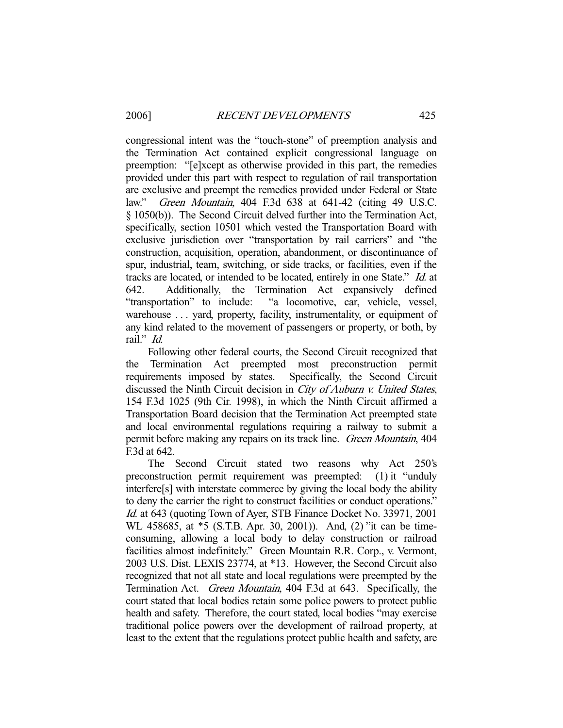congressional intent was the "touch-stone" of preemption analysis and the Termination Act contained explicit congressional language on preemption: "[e]xcept as otherwise provided in this part, the remedies provided under this part with respect to regulation of rail transportation are exclusive and preempt the remedies provided under Federal or State law." Green Mountain, 404 F.3d 638 at 641-42 (citing 49 U.S.C. § 1050(b)). The Second Circuit delved further into the Termination Act, specifically, section 10501 which vested the Transportation Board with exclusive jurisdiction over "transportation by rail carriers" and "the construction, acquisition, operation, abandonment, or discontinuance of spur, industrial, team, switching, or side tracks, or facilities, even if the tracks are located, or intended to be located, entirely in one State." Id. at 642. Additionally, the Termination Act expansively defined "transportation" to include: "a locomotive, car, vehicle, vessel, warehouse ... yard, property, facility, instrumentality, or equipment of any kind related to the movement of passengers or property, or both, by rail." Id.

 Following other federal courts, the Second Circuit recognized that the Termination Act preempted most preconstruction permit requirements imposed by states. Specifically, the Second Circuit discussed the Ninth Circuit decision in City of Auburn v. United States, 154 F.3d 1025 (9th Cir. 1998), in which the Ninth Circuit affirmed a Transportation Board decision that the Termination Act preempted state and local environmental regulations requiring a railway to submit a permit before making any repairs on its track line. Green Mountain, 404 F.3d at 642.

 The Second Circuit stated two reasons why Act 250's preconstruction permit requirement was preempted: (1) it "unduly interfere[s] with interstate commerce by giving the local body the ability to deny the carrier the right to construct facilities or conduct operations." Id. at 643 (quoting Town of Ayer, STB Finance Docket No. 33971, 2001) WL 458685, at \*5 (S.T.B. Apr. 30, 2001)). And, (2) "it can be timeconsuming, allowing a local body to delay construction or railroad facilities almost indefinitely." Green Mountain R.R. Corp., v. Vermont, 2003 U.S. Dist. LEXIS 23774, at \*13. However, the Second Circuit also recognized that not all state and local regulations were preempted by the Termination Act. Green Mountain, 404 F.3d at 643. Specifically, the court stated that local bodies retain some police powers to protect public health and safety. Therefore, the court stated, local bodies "may exercise traditional police powers over the development of railroad property, at least to the extent that the regulations protect public health and safety, are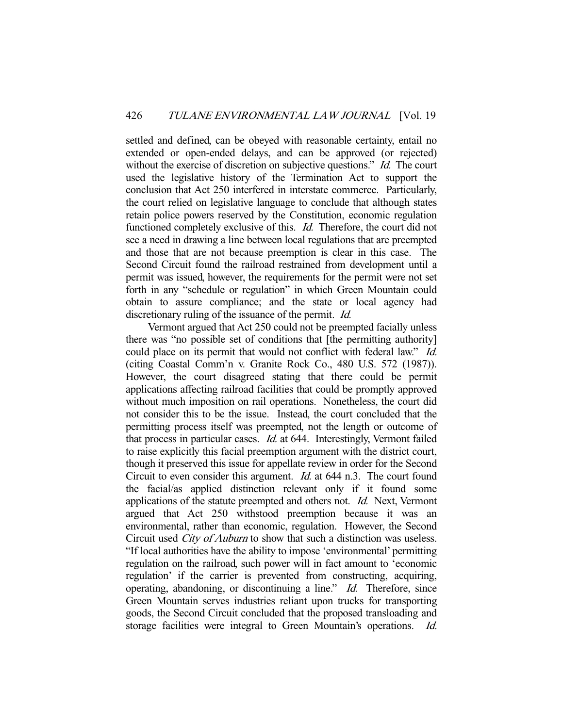settled and defined, can be obeyed with reasonable certainty, entail no extended or open-ended delays, and can be approved (or rejected) without the exercise of discretion on subjective questions." *Id.* The court used the legislative history of the Termination Act to support the conclusion that Act 250 interfered in interstate commerce. Particularly, the court relied on legislative language to conclude that although states retain police powers reserved by the Constitution, economic regulation functioned completely exclusive of this. Id. Therefore, the court did not see a need in drawing a line between local regulations that are preempted and those that are not because preemption is clear in this case. The Second Circuit found the railroad restrained from development until a permit was issued, however, the requirements for the permit were not set forth in any "schedule or regulation" in which Green Mountain could obtain to assure compliance; and the state or local agency had discretionary ruling of the issuance of the permit. *Id.* 

 Vermont argued that Act 250 could not be preempted facially unless there was "no possible set of conditions that [the permitting authority] could place on its permit that would not conflict with federal law." *Id.* (citing Coastal Comm'n v. Granite Rock Co., 480 U.S. 572 (1987)). However, the court disagreed stating that there could be permit applications affecting railroad facilities that could be promptly approved without much imposition on rail operations. Nonetheless, the court did not consider this to be the issue. Instead, the court concluded that the permitting process itself was preempted, not the length or outcome of that process in particular cases. Id. at 644. Interestingly, Vermont failed to raise explicitly this facial preemption argument with the district court, though it preserved this issue for appellate review in order for the Second Circuit to even consider this argument. Id. at 644 n.3. The court found the facial/as applied distinction relevant only if it found some applications of the statute preempted and others not. Id. Next, Vermont argued that Act 250 withstood preemption because it was an environmental, rather than economic, regulation. However, the Second Circuit used City of Auburn to show that such a distinction was useless. "If local authorities have the ability to impose 'environmental' permitting regulation on the railroad, such power will in fact amount to 'economic regulation' if the carrier is prevented from constructing, acquiring, operating, abandoning, or discontinuing a line." Id. Therefore, since Green Mountain serves industries reliant upon trucks for transporting goods, the Second Circuit concluded that the proposed transloading and storage facilities were integral to Green Mountain's operations. Id.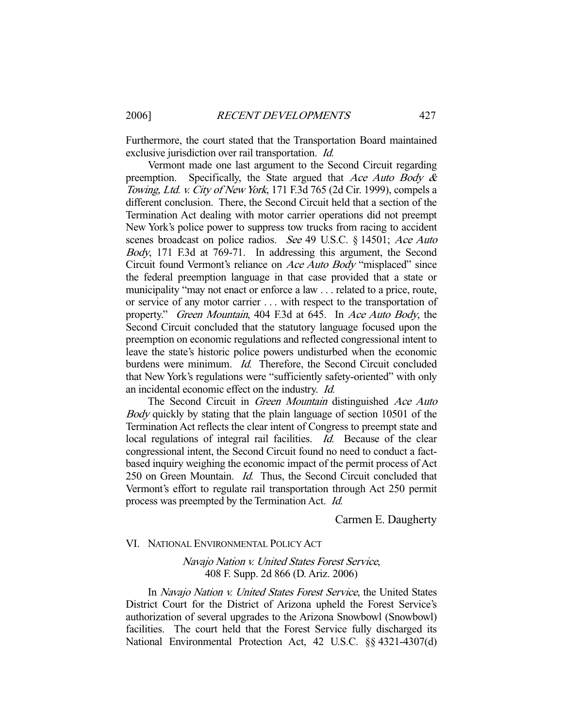Furthermore, the court stated that the Transportation Board maintained exclusive jurisdiction over rail transportation. *Id.* 

 Vermont made one last argument to the Second Circuit regarding preemption. Specifically, the State argued that Ace Auto Body  $\&$ Towing, Ltd. v. City of New York, 171 F.3d 765 (2d Cir. 1999), compels a different conclusion. There, the Second Circuit held that a section of the Termination Act dealing with motor carrier operations did not preempt New York's police power to suppress tow trucks from racing to accident scenes broadcast on police radios. See 49 U.S.C. § 14501; Ace Auto Body, 171 F.3d at 769-71. In addressing this argument, the Second Circuit found Vermont's reliance on Ace Auto Body "misplaced" since the federal preemption language in that case provided that a state or municipality "may not enact or enforce a law . . . related to a price, route, or service of any motor carrier . . . with respect to the transportation of property." Green Mountain, 404 F.3d at 645. In Ace Auto Body, the Second Circuit concluded that the statutory language focused upon the preemption on economic regulations and reflected congressional intent to leave the state's historic police powers undisturbed when the economic burdens were minimum. *Id.* Therefore, the Second Circuit concluded that New York's regulations were "sufficiently safety-oriented" with only an incidental economic effect on the industry. Id.

The Second Circuit in Green Mountain distinguished Ace Auto Body quickly by stating that the plain language of section 10501 of the Termination Act reflects the clear intent of Congress to preempt state and local regulations of integral rail facilities. Id. Because of the clear congressional intent, the Second Circuit found no need to conduct a factbased inquiry weighing the economic impact of the permit process of Act 250 on Green Mountain. Id. Thus, the Second Circuit concluded that Vermont's effort to regulate rail transportation through Act 250 permit process was preempted by the Termination Act. Id.

Carmen E. Daugherty

## VI. NATIONAL ENVIRONMENTAL POLICY ACT

Navajo Nation v. United States Forest Service, 408 F. Supp. 2d 866 (D. Ariz. 2006)

 In Navajo Nation v. United States Forest Service, the United States District Court for the District of Arizona upheld the Forest Service's authorization of several upgrades to the Arizona Snowbowl (Snowbowl) facilities. The court held that the Forest Service fully discharged its National Environmental Protection Act, 42 U.S.C. §§ 4321-4307(d)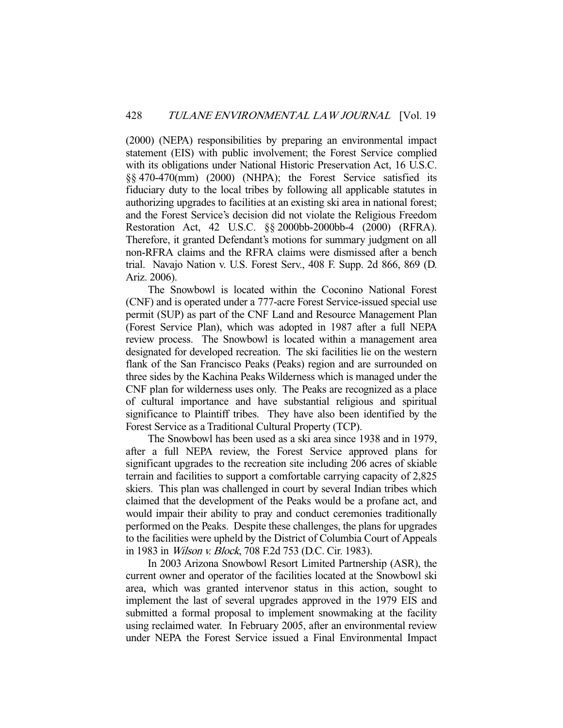(2000) (NEPA) responsibilities by preparing an environmental impact statement (EIS) with public involvement; the Forest Service complied with its obligations under National Historic Preservation Act, 16 U.S.C. §§ 470-470(mm) (2000) (NHPA); the Forest Service satisfied its fiduciary duty to the local tribes by following all applicable statutes in authorizing upgrades to facilities at an existing ski area in national forest; and the Forest Service's decision did not violate the Religious Freedom Restoration Act, 42 U.S.C. §§ 2000bb-2000bb-4 (2000) (RFRA). Therefore, it granted Defendant's motions for summary judgment on all non-RFRA claims and the RFRA claims were dismissed after a bench trial. Navajo Nation v. U.S. Forest Serv., 408 F. Supp. 2d 866, 869 (D. Ariz. 2006).

 The Snowbowl is located within the Coconino National Forest (CNF) and is operated under a 777-acre Forest Service-issued special use permit (SUP) as part of the CNF Land and Resource Management Plan (Forest Service Plan), which was adopted in 1987 after a full NEPA review process. The Snowbowl is located within a management area designated for developed recreation. The ski facilities lie on the western flank of the San Francisco Peaks (Peaks) region and are surrounded on three sides by the Kachina Peaks Wilderness which is managed under the CNF plan for wilderness uses only. The Peaks are recognized as a place of cultural importance and have substantial religious and spiritual significance to Plaintiff tribes. They have also been identified by the Forest Service as a Traditional Cultural Property (TCP).

 The Snowbowl has been used as a ski area since 1938 and in 1979, after a full NEPA review, the Forest Service approved plans for significant upgrades to the recreation site including 206 acres of skiable terrain and facilities to support a comfortable carrying capacity of 2,825 skiers. This plan was challenged in court by several Indian tribes which claimed that the development of the Peaks would be a profane act, and would impair their ability to pray and conduct ceremonies traditionally performed on the Peaks. Despite these challenges, the plans for upgrades to the facilities were upheld by the District of Columbia Court of Appeals in 1983 in Wilson v. Block, 708 F.2d 753 (D.C. Cir. 1983).

 In 2003 Arizona Snowbowl Resort Limited Partnership (ASR), the current owner and operator of the facilities located at the Snowbowl ski area, which was granted intervenor status in this action, sought to implement the last of several upgrades approved in the 1979 EIS and submitted a formal proposal to implement snowmaking at the facility using reclaimed water. In February 2005, after an environmental review under NEPA the Forest Service issued a Final Environmental Impact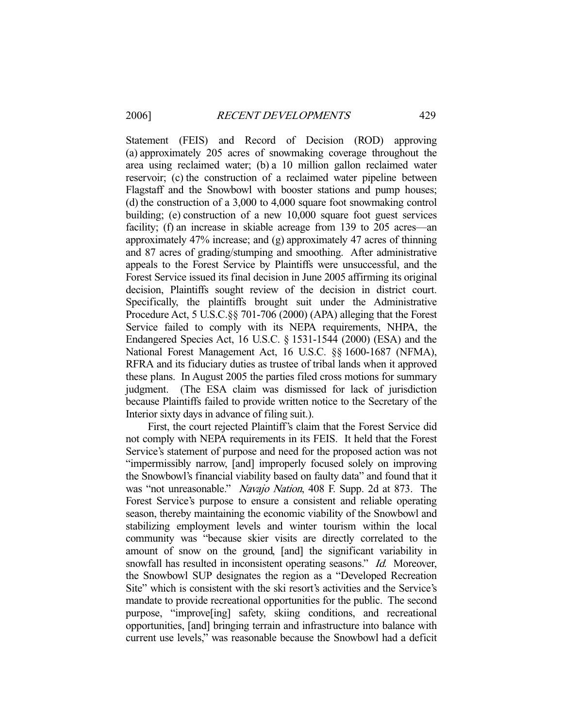Statement (FEIS) and Record of Decision (ROD) approving (a) approximately 205 acres of snowmaking coverage throughout the area using reclaimed water; (b) a 10 million gallon reclaimed water reservoir; (c) the construction of a reclaimed water pipeline between Flagstaff and the Snowbowl with booster stations and pump houses; (d) the construction of a 3,000 to 4,000 square foot snowmaking control building; (e) construction of a new 10,000 square foot guest services facility; (f) an increase in skiable acreage from 139 to 205 acres—an approximately 47% increase; and (g) approximately 47 acres of thinning and 87 acres of grading/stumping and smoothing. After administrative appeals to the Forest Service by Plaintiffs were unsuccessful, and the Forest Service issued its final decision in June 2005 affirming its original decision, Plaintiffs sought review of the decision in district court. Specifically, the plaintiffs brought suit under the Administrative Procedure Act, 5 U.S.C.§§ 701-706 (2000) (APA) alleging that the Forest Service failed to comply with its NEPA requirements, NHPA, the Endangered Species Act, 16 U.S.C. § 1531-1544 (2000) (ESA) and the National Forest Management Act, 16 U.S.C. §§ 1600-1687 (NFMA), RFRA and its fiduciary duties as trustee of tribal lands when it approved these plans. In August 2005 the parties filed cross motions for summary judgment. (The ESA claim was dismissed for lack of jurisdiction because Plaintiffs failed to provide written notice to the Secretary of the Interior sixty days in advance of filing suit.).

 First, the court rejected Plaintiff's claim that the Forest Service did not comply with NEPA requirements in its FEIS. It held that the Forest Service's statement of purpose and need for the proposed action was not "impermissibly narrow, [and] improperly focused solely on improving the Snowbowl's financial viability based on faulty data" and found that it was "not unreasonable." Navajo Nation, 408 F. Supp. 2d at 873. The Forest Service's purpose to ensure a consistent and reliable operating season, thereby maintaining the economic viability of the Snowbowl and stabilizing employment levels and winter tourism within the local community was "because skier visits are directly correlated to the amount of snow on the ground, [and] the significant variability in snowfall has resulted in inconsistent operating seasons." Id. Moreover, the Snowbowl SUP designates the region as a "Developed Recreation Site" which is consistent with the ski resort's activities and the Service's mandate to provide recreational opportunities for the public. The second purpose, "improve[ing] safety, skiing conditions, and recreational opportunities, [and] bringing terrain and infrastructure into balance with current use levels," was reasonable because the Snowbowl had a deficit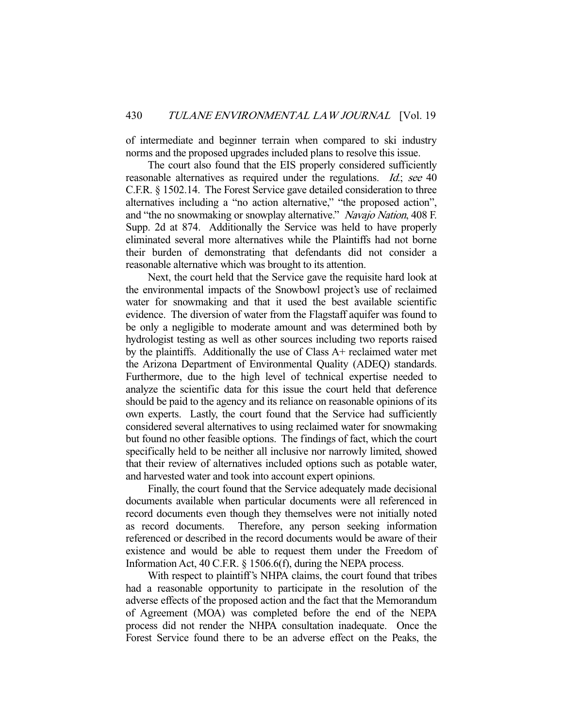of intermediate and beginner terrain when compared to ski industry norms and the proposed upgrades included plans to resolve this issue.

 The court also found that the EIS properly considered sufficiently reasonable alternatives as required under the regulations. *Id.; see* 40 C.F.R. § 1502.14. The Forest Service gave detailed consideration to three alternatives including a "no action alternative," "the proposed action", and "the no snowmaking or snowplay alternative." Navajo Nation, 408 F. Supp. 2d at 874. Additionally the Service was held to have properly eliminated several more alternatives while the Plaintiffs had not borne their burden of demonstrating that defendants did not consider a reasonable alternative which was brought to its attention.

 Next, the court held that the Service gave the requisite hard look at the environmental impacts of the Snowbowl project's use of reclaimed water for snowmaking and that it used the best available scientific evidence. The diversion of water from the Flagstaff aquifer was found to be only a negligible to moderate amount and was determined both by hydrologist testing as well as other sources including two reports raised by the plaintiffs. Additionally the use of Class A+ reclaimed water met the Arizona Department of Environmental Quality (ADEQ) standards. Furthermore, due to the high level of technical expertise needed to analyze the scientific data for this issue the court held that deference should be paid to the agency and its reliance on reasonable opinions of its own experts. Lastly, the court found that the Service had sufficiently considered several alternatives to using reclaimed water for snowmaking but found no other feasible options. The findings of fact, which the court specifically held to be neither all inclusive nor narrowly limited, showed that their review of alternatives included options such as potable water, and harvested water and took into account expert opinions.

 Finally, the court found that the Service adequately made decisional documents available when particular documents were all referenced in record documents even though they themselves were not initially noted as record documents. Therefore, any person seeking information referenced or described in the record documents would be aware of their existence and would be able to request them under the Freedom of Information Act, 40 C.F.R. § 1506.6(f), during the NEPA process.

 With respect to plaintiff's NHPA claims, the court found that tribes had a reasonable opportunity to participate in the resolution of the adverse effects of the proposed action and the fact that the Memorandum of Agreement (MOA) was completed before the end of the NEPA process did not render the NHPA consultation inadequate. Once the Forest Service found there to be an adverse effect on the Peaks, the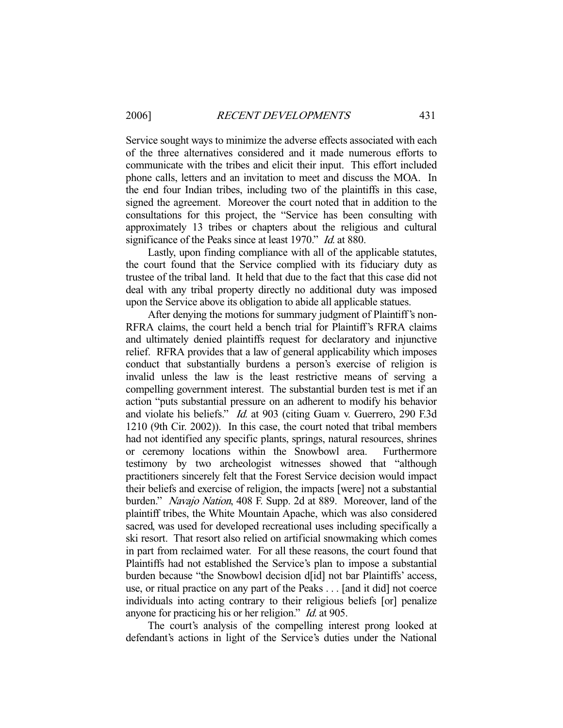Service sought ways to minimize the adverse effects associated with each of the three alternatives considered and it made numerous efforts to communicate with the tribes and elicit their input. This effort included phone calls, letters and an invitation to meet and discuss the MOA. In the end four Indian tribes, including two of the plaintiffs in this case, signed the agreement. Moreover the court noted that in addition to the consultations for this project, the "Service has been consulting with approximately 13 tribes or chapters about the religious and cultural significance of the Peaks since at least 1970." *Id.* at 880.

 Lastly, upon finding compliance with all of the applicable statutes, the court found that the Service complied with its fiduciary duty as trustee of the tribal land. It held that due to the fact that this case did not deal with any tribal property directly no additional duty was imposed upon the Service above its obligation to abide all applicable statues.

 After denying the motions for summary judgment of Plaintiff's non-RFRA claims, the court held a bench trial for Plaintiff's RFRA claims and ultimately denied plaintiffs request for declaratory and injunctive relief. RFRA provides that a law of general applicability which imposes conduct that substantially burdens a person's exercise of religion is invalid unless the law is the least restrictive means of serving a compelling government interest. The substantial burden test is met if an action "puts substantial pressure on an adherent to modify his behavior and violate his beliefs." Id. at 903 (citing Guam v. Guerrero, 290 F.3d 1210 (9th Cir. 2002)). In this case, the court noted that tribal members had not identified any specific plants, springs, natural resources, shrines or ceremony locations within the Snowbowl area. Furthermore testimony by two archeologist witnesses showed that "although practitioners sincerely felt that the Forest Service decision would impact their beliefs and exercise of religion, the impacts [were] not a substantial burden." Navajo Nation, 408 F. Supp. 2d at 889. Moreover, land of the plaintiff tribes, the White Mountain Apache, which was also considered sacred, was used for developed recreational uses including specifically a ski resort. That resort also relied on artificial snowmaking which comes in part from reclaimed water. For all these reasons, the court found that Plaintiffs had not established the Service's plan to impose a substantial burden because "the Snowbowl decision d[id] not bar Plaintiffs' access. use, or ritual practice on any part of the Peaks . . . [and it did] not coerce individuals into acting contrary to their religious beliefs [or] penalize anyone for practicing his or her religion." Id. at 905.

 The court's analysis of the compelling interest prong looked at defendant's actions in light of the Service's duties under the National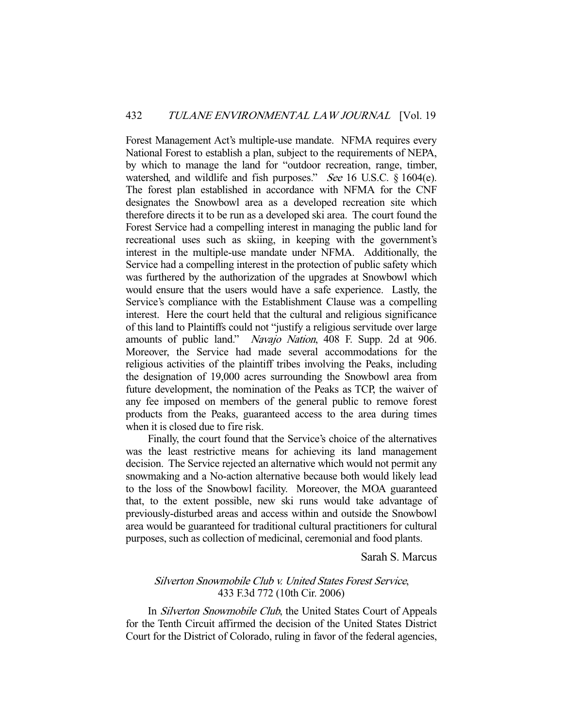Forest Management Act's multiple-use mandate. NFMA requires every National Forest to establish a plan, subject to the requirements of NEPA, by which to manage the land for "outdoor recreation, range, timber, watershed, and wildlife and fish purposes." See 16 U.S.C. § 1604(e). The forest plan established in accordance with NFMA for the CNF designates the Snowbowl area as a developed recreation site which therefore directs it to be run as a developed ski area. The court found the Forest Service had a compelling interest in managing the public land for recreational uses such as skiing, in keeping with the government's interest in the multiple-use mandate under NFMA. Additionally, the Service had a compelling interest in the protection of public safety which was furthered by the authorization of the upgrades at Snowbowl which would ensure that the users would have a safe experience. Lastly, the Service's compliance with the Establishment Clause was a compelling interest. Here the court held that the cultural and religious significance of this land to Plaintiffs could not "justify a religious servitude over large amounts of public land." Navajo Nation, 408 F. Supp. 2d at 906. Moreover, the Service had made several accommodations for the religious activities of the plaintiff tribes involving the Peaks, including the designation of 19,000 acres surrounding the Snowbowl area from future development, the nomination of the Peaks as TCP, the waiver of any fee imposed on members of the general public to remove forest products from the Peaks, guaranteed access to the area during times when it is closed due to fire risk.

 Finally, the court found that the Service's choice of the alternatives was the least restrictive means for achieving its land management decision. The Service rejected an alternative which would not permit any snowmaking and a No-action alternative because both would likely lead to the loss of the Snowbowl facility. Moreover, the MOA guaranteed that, to the extent possible, new ski runs would take advantage of previously-disturbed areas and access within and outside the Snowbowl area would be guaranteed for traditional cultural practitioners for cultural purposes, such as collection of medicinal, ceremonial and food plants.

Sarah S. Marcus

# Silverton Snowmobile Club v. United States Forest Service, 433 F.3d 772 (10th Cir. 2006)

In *Silverton Snowmobile Club*, the United States Court of Appeals for the Tenth Circuit affirmed the decision of the United States District Court for the District of Colorado, ruling in favor of the federal agencies,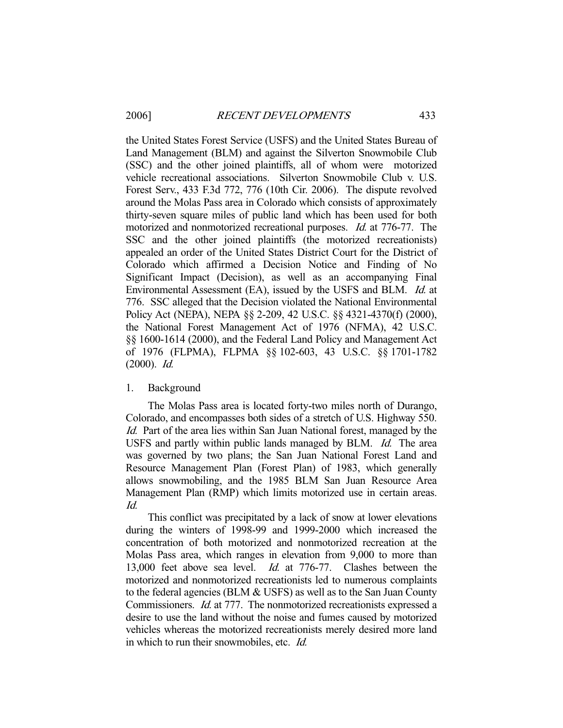the United States Forest Service (USFS) and the United States Bureau of Land Management (BLM) and against the Silverton Snowmobile Club (SSC) and the other joined plaintiffs, all of whom were motorized vehicle recreational associations. Silverton Snowmobile Club v. U.S. Forest Serv., 433 F.3d 772, 776 (10th Cir. 2006). The dispute revolved around the Molas Pass area in Colorado which consists of approximately thirty-seven square miles of public land which has been used for both motorized and nonmotorized recreational purposes. Id. at 776-77. The SSC and the other joined plaintiffs (the motorized recreationists) appealed an order of the United States District Court for the District of Colorado which affirmed a Decision Notice and Finding of No Significant Impact (Decision), as well as an accompanying Final Environmental Assessment (EA), issued by the USFS and BLM. *Id.* at 776. SSC alleged that the Decision violated the National Environmental Policy Act (NEPA), NEPA §§ 2-209, 42 U.S.C. §§ 4321-4370(f) (2000), the National Forest Management Act of 1976 (NFMA), 42 U.S.C. §§ 1600-1614 (2000), and the Federal Land Policy and Management Act of 1976 (FLPMA), FLPMA §§ 102-603, 43 U.S.C. §§ 1701-1782  $(2000)$ . *Id.* 

#### 1. Background

 The Molas Pass area is located forty-two miles north of Durango, Colorado, and encompasses both sides of a stretch of U.S. Highway 550. Id. Part of the area lies within San Juan National forest, managed by the USFS and partly within public lands managed by BLM. Id. The area was governed by two plans; the San Juan National Forest Land and Resource Management Plan (Forest Plan) of 1983, which generally allows snowmobiling, and the 1985 BLM San Juan Resource Area Management Plan (RMP) which limits motorized use in certain areas. Id.

 This conflict was precipitated by a lack of snow at lower elevations during the winters of 1998-99 and 1999-2000 which increased the concentration of both motorized and nonmotorized recreation at the Molas Pass area, which ranges in elevation from 9,000 to more than 13,000 feet above sea level. Id. at 776-77. Clashes between the motorized and nonmotorized recreationists led to numerous complaints to the federal agencies (BLM & USFS) as well as to the San Juan County Commissioners. Id. at 777. The nonmotorized recreationists expressed a desire to use the land without the noise and fumes caused by motorized vehicles whereas the motorized recreationists merely desired more land in which to run their snowmobiles, etc. Id.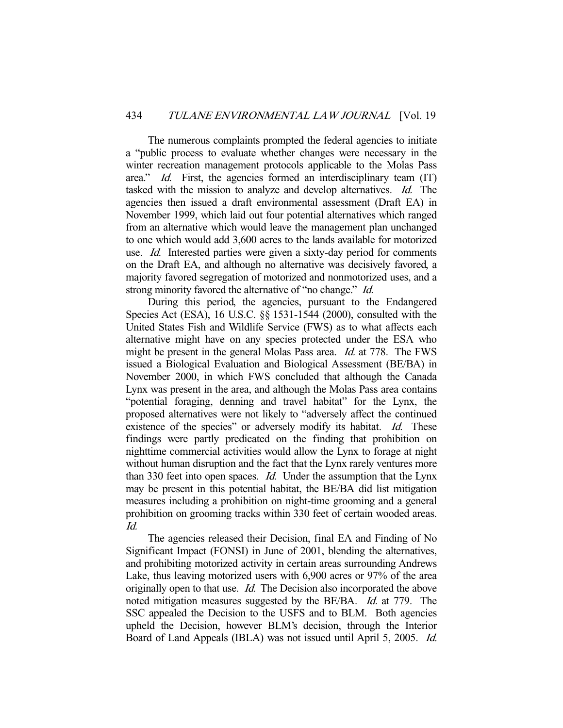The numerous complaints prompted the federal agencies to initiate a "public process to evaluate whether changes were necessary in the winter recreation management protocols applicable to the Molas Pass area." Id. First, the agencies formed an interdisciplinary team (IT) tasked with the mission to analyze and develop alternatives. Id. The agencies then issued a draft environmental assessment (Draft EA) in November 1999, which laid out four potential alternatives which ranged from an alternative which would leave the management plan unchanged to one which would add 3,600 acres to the lands available for motorized use. *Id.* Interested parties were given a sixty-day period for comments on the Draft EA, and although no alternative was decisively favored, a majority favored segregation of motorized and nonmotorized uses, and a strong minority favored the alternative of "no change." *Id.* 

 During this period, the agencies, pursuant to the Endangered Species Act (ESA), 16 U.S.C. §§ 1531-1544 (2000), consulted with the United States Fish and Wildlife Service (FWS) as to what affects each alternative might have on any species protected under the ESA who might be present in the general Molas Pass area. *Id.* at 778. The FWS issued a Biological Evaluation and Biological Assessment (BE/BA) in November 2000, in which FWS concluded that although the Canada Lynx was present in the area, and although the Molas Pass area contains "potential foraging, denning and travel habitat" for the Lynx, the proposed alternatives were not likely to "adversely affect the continued existence of the species" or adversely modify its habitat. Id. These findings were partly predicated on the finding that prohibition on nighttime commercial activities would allow the Lynx to forage at night without human disruption and the fact that the Lynx rarely ventures more than 330 feet into open spaces. Id. Under the assumption that the Lynx may be present in this potential habitat, the BE/BA did list mitigation measures including a prohibition on night-time grooming and a general prohibition on grooming tracks within 330 feet of certain wooded areas. Id.

 The agencies released their Decision, final EA and Finding of No Significant Impact (FONSI) in June of 2001, blending the alternatives, and prohibiting motorized activity in certain areas surrounding Andrews Lake, thus leaving motorized users with 6,900 acres or 97% of the area originally open to that use. *Id.* The Decision also incorporated the above noted mitigation measures suggested by the BE/BA. Id. at 779. The SSC appealed the Decision to the USFS and to BLM. Both agencies upheld the Decision, however BLM's decision, through the Interior Board of Land Appeals (IBLA) was not issued until April 5, 2005. Id.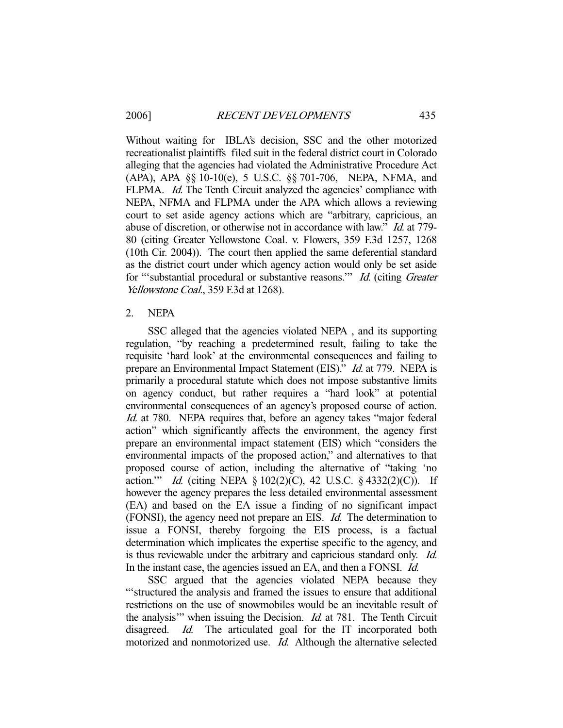Without waiting for IBLA's decision, SSC and the other motorized recreationalist plaintiffs filed suit in the federal district court in Colorado alleging that the agencies had violated the Administrative Procedure Act (APA), APA §§ 10-10(e), 5 U.S.C. §§ 701-706, NEPA, NFMA, and FLPMA. *Id.* The Tenth Circuit analyzed the agencies' compliance with NEPA, NFMA and FLPMA under the APA which allows a reviewing court to set aside agency actions which are "arbitrary, capricious, an abuse of discretion, or otherwise not in accordance with law." Id. at 779- 80 (citing Greater Yellowstone Coal. v. Flowers, 359 F.3d 1257, 1268 (10th Cir. 2004)). The court then applied the same deferential standard as the district court under which agency action would only be set aside for "'substantial procedural or substantive reasons."" Id. (citing Greater Yellowstone Coal., 359 F.3d at 1268).

### 2. NEPA

 SSC alleged that the agencies violated NEPA , and its supporting regulation, "by reaching a predetermined result, failing to take the requisite 'hard look' at the environmental consequences and failing to prepare an Environmental Impact Statement (EIS)." Id. at 779. NEPA is primarily a procedural statute which does not impose substantive limits on agency conduct, but rather requires a "hard look" at potential environmental consequences of an agency's proposed course of action. Id. at 780. NEPA requires that, before an agency takes "major federal action" which significantly affects the environment, the agency first prepare an environmental impact statement (EIS) which "considers the environmental impacts of the proposed action," and alternatives to that proposed course of action, including the alternative of "taking 'no action.'" Id. (citing NEPA § 102(2)(C), 42 U.S.C. § 4332(2)(C)). If however the agency prepares the less detailed environmental assessment (EA) and based on the EA issue a finding of no significant impact (FONSI), the agency need not prepare an EIS. Id. The determination to issue a FONSI, thereby forgoing the EIS process, is a factual determination which implicates the expertise specific to the agency, and is thus reviewable under the arbitrary and capricious standard only. Id. In the instant case, the agencies issued an EA, and then a FONSI. *Id.* 

 SSC argued that the agencies violated NEPA because they "'structured the analysis and framed the issues to ensure that additional restrictions on the use of snowmobiles would be an inevitable result of the analysis'" when issuing the Decision. Id. at 781. The Tenth Circuit disagreed. *Id.* The articulated goal for the IT incorporated both motorized and nonmotorized use. Id. Although the alternative selected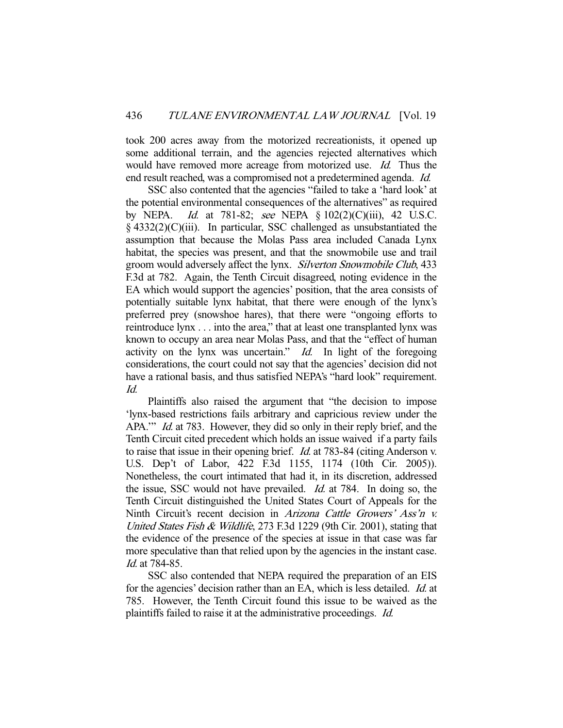took 200 acres away from the motorized recreationists, it opened up some additional terrain, and the agencies rejected alternatives which would have removed more acreage from motorized use. Id. Thus the end result reached, was a compromised not a predetermined agenda. Id.

 SSC also contented that the agencies "failed to take a 'hard look' at the potential environmental consequences of the alternatives" as required by NEPA. Id. at 781-82; see NEPA § 102(2)(C)(iii), 42 U.S.C. § 4332(2)(C)(iii). In particular, SSC challenged as unsubstantiated the assumption that because the Molas Pass area included Canada Lynx habitat, the species was present, and that the snowmobile use and trail groom would adversely affect the lynx. Silverton Snowmobile Club, 433 F.3d at 782. Again, the Tenth Circuit disagreed, noting evidence in the EA which would support the agencies' position, that the area consists of potentially suitable lynx habitat, that there were enough of the lynx's preferred prey (snowshoe hares), that there were "ongoing efforts to reintroduce lynx . . . into the area," that at least one transplanted lynx was known to occupy an area near Molas Pass, and that the "effect of human activity on the lynx was uncertain." *Id.* In light of the foregoing considerations, the court could not say that the agencies' decision did not have a rational basis, and thus satisfied NEPA's "hard look" requirement. Id.

 Plaintiffs also raised the argument that "the decision to impose 'lynx-based restrictions fails arbitrary and capricious review under the APA.'" *Id.* at 783. However, they did so only in their reply brief, and the Tenth Circuit cited precedent which holds an issue waived if a party fails to raise that issue in their opening brief. Id. at 783-84 (citing Anderson v. U.S. Dep't of Labor, 422 F.3d 1155, 1174 (10th Cir. 2005)). Nonetheless, the court intimated that had it, in its discretion, addressed the issue, SSC would not have prevailed. Id. at 784. In doing so, the Tenth Circuit distinguished the United States Court of Appeals for the Ninth Circuit's recent decision in Arizona Cattle Growers' Ass'n v. United States Fish & Wildlife, 273 F.3d 1229 (9th Cir. 2001), stating that the evidence of the presence of the species at issue in that case was far more speculative than that relied upon by the agencies in the instant case. Id. at 784-85.

 SSC also contended that NEPA required the preparation of an EIS for the agencies' decision rather than an EA, which is less detailed. *Id.* at 785. However, the Tenth Circuit found this issue to be waived as the plaintiffs failed to raise it at the administrative proceedings. Id.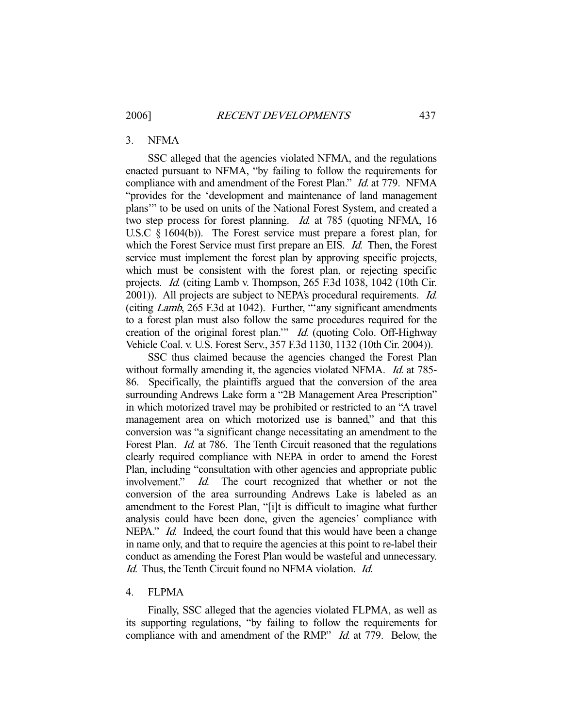## 3. NFMA

 SSC alleged that the agencies violated NFMA, and the regulations enacted pursuant to NFMA, "by failing to follow the requirements for compliance with and amendment of the Forest Plan." *Id.* at 779. NFMA "provides for the 'development and maintenance of land management plans'" to be used on units of the National Forest System, and created a two step process for forest planning. Id. at 785 (quoting NFMA, 16 U.S.C § 1604(b)). The Forest service must prepare a forest plan, for which the Forest Service must first prepare an EIS. *Id.* Then, the Forest service must implement the forest plan by approving specific projects, which must be consistent with the forest plan, or rejecting specific projects. Id. (citing Lamb v. Thompson, 265 F.3d 1038, 1042 (10th Cir. 2001)). All projects are subject to NEPA's procedural requirements. Id. (citing Lamb, 265 F.3d at 1042). Further, "'any significant amendments to a forest plan must also follow the same procedures required for the creation of the original forest plan." *Id.* (quoting Colo. Off-Highway Vehicle Coal. v. U.S. Forest Serv., 357 F.3d 1130, 1132 (10th Cir. 2004)).

 SSC thus claimed because the agencies changed the Forest Plan without formally amending it, the agencies violated NFMA. *Id.* at 785-86. Specifically, the plaintiffs argued that the conversion of the area surrounding Andrews Lake form a "2B Management Area Prescription" in which motorized travel may be prohibited or restricted to an "A travel management area on which motorized use is banned," and that this conversion was "a significant change necessitating an amendment to the Forest Plan. Id. at 786. The Tenth Circuit reasoned that the regulations clearly required compliance with NEPA in order to amend the Forest Plan, including "consultation with other agencies and appropriate public involvement." Id. The court recognized that whether or not the conversion of the area surrounding Andrews Lake is labeled as an amendment to the Forest Plan, "[i]t is difficult to imagine what further analysis could have been done, given the agencies' compliance with NEPA." *Id.* Indeed, the court found that this would have been a change in name only, and that to require the agencies at this point to re-label their conduct as amending the Forest Plan would be wasteful and unnecessary. Id. Thus, the Tenth Circuit found no NFMA violation. Id.

#### 4. FLPMA

 Finally, SSC alleged that the agencies violated FLPMA, as well as its supporting regulations, "by failing to follow the requirements for compliance with and amendment of the RMP." *Id.* at 779. Below, the